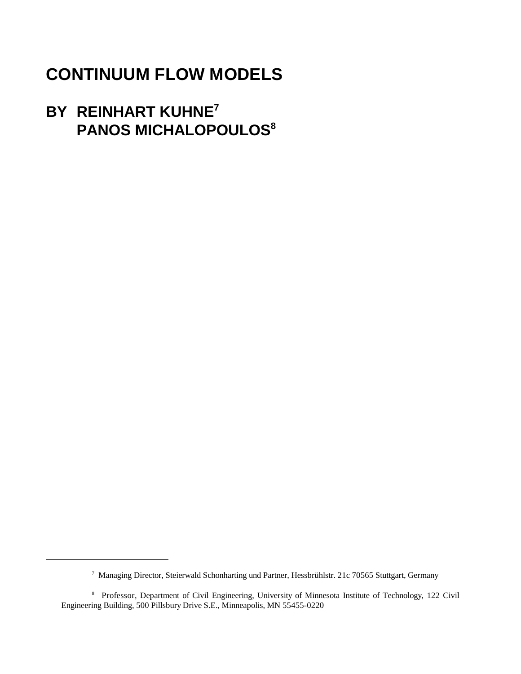# **CONTINUUM FLOW MODELS**

# **BY REINHART KUHNE7 PANOS MICHALOPOULOS8**

<sup>&</sup>lt;sup>7</sup> Managing Director, Steierwald Schonharting und Partner, Hessbrühlstr. 21c 70565 Stuttgart, Germany

<sup>&</sup>lt;sup>8</sup> Professor, Department of Civil Engineering, University of Minnesota Institute of Technology, 122 Civil Engineering Building, 500 Pillsbury Drive S.E., Minneapolis, MN 55455-0220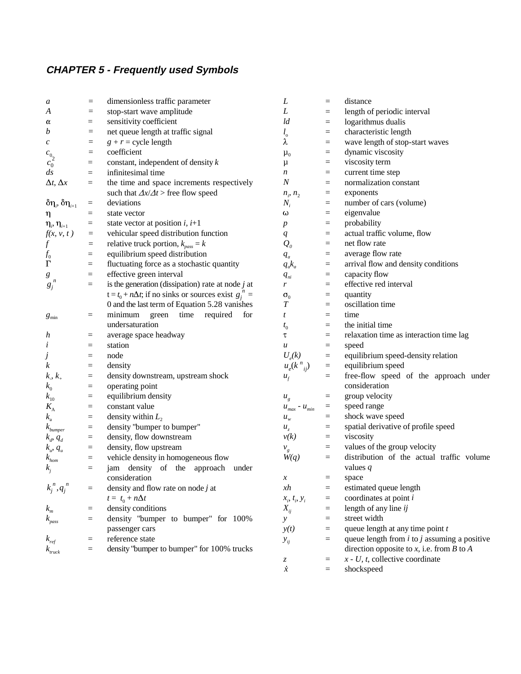# **CHAPTER 5 - Frequently used Symbols**

| a                                      | $\equiv$        | dimensionless traffic parameter                                             | L                                                                   | $\equiv$        | distance                                         |
|----------------------------------------|-----------------|-----------------------------------------------------------------------------|---------------------------------------------------------------------|-----------------|--------------------------------------------------|
| A                                      | $\equiv$        | stop-start wave amplitude                                                   | L                                                                   | $=$             | length of periodic interval                      |
| α                                      | $=$             | sensitivity coefficient                                                     | ld                                                                  | $\equiv$        | logarithmus dualis                               |
| b                                      | $=$             | net queue length at traffic signal                                          | $l_{\rm o}$                                                         | $\equiv$        | characteristic length                            |
| $\boldsymbol{c}$                       | $\equiv$        | $g + r =$ cycle length                                                      | λ                                                                   | $\equiv$        | wave length of stop-start waves                  |
| $c_{\scriptscriptstyle 0_2}^{}$        | $\equiv$        | coefficient                                                                 | $\mu_0$                                                             | $\equiv$        | dynamic viscosity                                |
| $c_0$ <sup><math>\tilde{}</math></sup> | $=$             | constant, independent of density $k$                                        | μ                                                                   | $\equiv$        | viscosity term                                   |
| $\frac{ds}{\sqrt{2}}$                  | $\equiv$        | infinitesimal time                                                          | $\boldsymbol{n}$                                                    | $=$             | current time step                                |
| $\Delta t, \Delta x$                   | $=$             | the time and space increments respectively                                  | $\boldsymbol{N}$                                                    | $\equiv$        | normalization constant                           |
|                                        |                 | such that $\Delta x/\Delta t$ > free flow speed                             | $n_i$ , $n_2$                                                       | $\equiv$        | exponents                                        |
| $\delta\eta_i, \delta\eta_{i+1}$       | $\equiv$        | deviations                                                                  | $N_i$                                                               | $\equiv$        | number of cars (volume)                          |
| η                                      | $=$             | state vector                                                                | ω                                                                   | $\equiv$        | eigenvalue                                       |
| $\eta_i$ , $\eta_{i+1}$                | $\quad \  \  =$ | state vector at position $i$ , $i+1$                                        | $\boldsymbol{p}$                                                    | $\equiv$        | probability                                      |
| f(x, v, t)                             | $\equiv$        | vehicular speed distribution function                                       | $q_{\parallel}$                                                     | $=$             | actual traffic volume, flow                      |
| $\overline{f}$                         | $=$             | relative truck portion, $k_{pass} = k$                                      | $\mathcal{Q}_o$                                                     | $=$             | net flow rate                                    |
| $f_0$                                  | $\equiv$        | equilibrium speed distribution                                              | $q_a$                                                               | $=$             | average flow rate                                |
| $\Gamma$                               | $\equiv$        | fluctuating force as a stochastic quantity                                  | $q_a k_a$                                                           | $\equiv$        | arrival flow and density conditions              |
| g                                      | $\equiv$        | effective green interval                                                    | $q_{\scriptscriptstyle n i}$                                        | $\equiv$        | capacity flow                                    |
| $g_j^{\,n}$                            | $=$             | is the generation (dissipation) rate at node $j$ at                         | r                                                                   | $\equiv$        | effective red interval                           |
|                                        |                 | $t = t_0 + n\Delta t$ ; if no sinks or sources exist $g_i^{\prime\prime} =$ | $\sigma_{0}$                                                        | $\equiv$        | quantity                                         |
|                                        |                 | 0 and the last term of Equation 5.28 vanishes                               | T                                                                   | $=$             | oscillation time                                 |
| $g_{\text{min}}$                       | $=$             | minimum green time required for                                             | t                                                                   | $\equiv$        | time                                             |
|                                        |                 | undersaturation                                                             |                                                                     | $=$             | the initial time                                 |
| h                                      | $=$             | average space headway                                                       | $t_{0}$<br>τ                                                        | $=$             | relaxation time as interaction time lag          |
| i                                      | $=$             | station                                                                     | $\boldsymbol{u}$                                                    | $\equiv$        | speed                                            |
|                                        | $\equiv$        | node                                                                        | $U_e(k)$                                                            | $\equiv$        | equilibrium speed-density relation               |
| J<br>$\boldsymbol{k}$                  | $\equiv$        | density                                                                     | $u_e(k^n_{ij})$                                                     | $\equiv$        | equilibrium speed                                |
| $k, k_{+}$                             | $=$             | density downstream, upstream shock                                          |                                                                     | $\equiv$        | free-flow speed of the approach under            |
|                                        | $=$             |                                                                             | $u_{f}$                                                             |                 | consideration                                    |
| $k_{0}$                                |                 | operating point<br>equilibrium density                                      |                                                                     | $\equiv$        | group velocity                                   |
| $k_{10}$                               | $\equiv$        | constant value                                                              | $u_{g}$                                                             |                 | speed range                                      |
| $K_{\rm A}$                            | $\equiv$        |                                                                             | $\boldsymbol{\mathcal{U}}_{max}$ - $\boldsymbol{\mathcal{U}}_{min}$ | $\quad \  \  =$ | shock wave speed                                 |
| $k_{\rm a}$                            | $\equiv$        | density within $L_2$                                                        | $\boldsymbol{u}_{\boldsymbol{w}}$                                   | $\equiv$        |                                                  |
| $k_{bumper}$                           | $\equiv$        | density "bumper to bumper"                                                  | $u_{\overline{z}}$                                                  | $\equiv$        | spatial derivative of profile speed              |
| $k_d$ , $q_d$                          | $=$             | density, flow downstream                                                    | $\nu(k)$                                                            | $=$             | viscosity                                        |
| $k_u$ , $q_u$                          | $\equiv$        | density, flow upstream                                                      | $v_{g}$                                                             | $=$             | values of the group velocity                     |
| $k_{hom}$                              | $=$             | vehicle density in homogeneous flow                                         | W(q)                                                                | $\equiv$        | distribution of the actual traffic volume        |
| $k_i$                                  | $\equiv$        | jam density of the approach under                                           |                                                                     |                 | values $q$                                       |
|                                        |                 | consideration                                                               | $\mathcal{X}$                                                       | $=$             | space                                            |
| $k_i^n, q_i^n$                         | $=$             | density and flow rate on node $j$ at                                        | xh                                                                  | $\equiv$        | estimated queue length                           |
|                                        |                 | $t = t_0 + n\Delta t$                                                       | $x_i, t_i, y_i$                                                     | $\equiv$        | coordinates at point i                           |
| $k_{m}$                                | $\equiv$        | density conditions                                                          | $X_{ij}$                                                            | $\equiv$        | length of any line ij                            |
| $k_{pass}$                             | $=$             | density "bumper to bumper" for 100%                                         | $\mathcal{Y}$                                                       | $\equiv$        | street width                                     |
|                                        |                 | passenger cars                                                              | y(t)                                                                | $=$             | queue length at any time point $t$               |
| $k_{\it ref}$                          | $=$             | reference state                                                             | $y_{ij}$                                                            | $\equiv$        | queue length from $i$ to $j$ assuming a positive |
| $k_{\text{truck}}$                     | $=$             | density "bumper to bumper" for 100% trucks                                  |                                                                     |                 | direction opposite to x, i.e. from B to A        |
|                                        |                 |                                                                             | z                                                                   | $\equiv$        | $x - U$ , t, collective coordinate               |
|                                        |                 |                                                                             | $\dot{x}$                                                           | $\equiv$        | shockspeed                                       |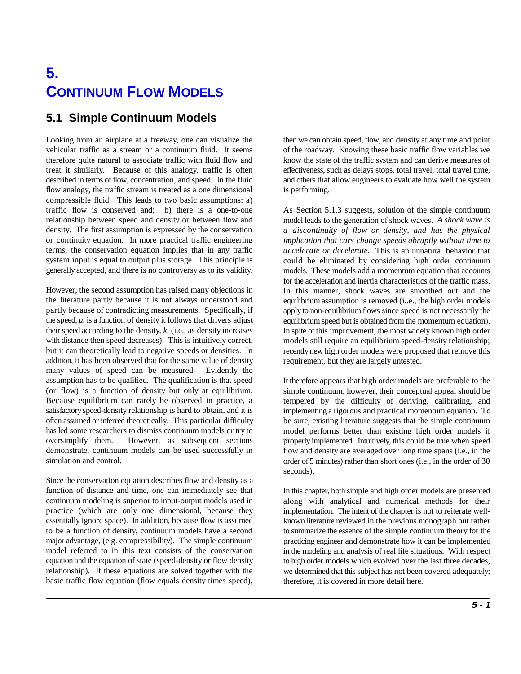# **5. CONTINUUM FLOW MODELS**

# **5.1 Simple Continuum Models**

vehicular traffic as a stream or a continuum fluid. It seems of the roadway. Knowing these basic traffic flow variables we therefore quite natural to associate traffic with fluid flow and know the state of the traffic system and can derive measures of treat it similarly. Because of this analogy, traffic is often effectiveness, such as delays stops, total travel, total travel time, described in terms of flow, concentration, and speed. In the fluid and others that allow engineers to evaluate how well the system flow analogy, the traffic stream is treated as a one dimensional is performing. compressible fluid. This leads to two basic assumptions: a) traffic flow is conserved and; b) there is a one-to-one As Section 5.1.3 suggests, solution of the simple continuum relationship between speed and density or between flow and density. The first assumption is expressed by the conservation or continuity equation. In more practical traffic engineering terms, the conservation equation implies that in any traffic system input is equal to output plus storage. This principle is generally accepted, and there is no controversy as to its validity.

However, the second assumption has raised many objections in the literature partly because it is not always understood and partly because of contradicting measurements. Specifically, if the speed,  $u$ , is a function of density it follows that drivers adjust their speed according to the density,  $k$ , (i.e., as density increases with distance then speed decreases). This is intuitively correct, but it can theoretically lead to negative speeds or densities. In addition, it has been observed that for the same value of density many values of speed can be measured. Evidently the assumption has to be qualified. The qualification is that speed (or flow) is a function of density but only at equilibrium. Because equilibrium can rarely be observed in practice, a satisfactory speed-density relationship is hard to obtain, and it is often assumed or inferred theoretically. This particular difficulty has led some researchers to dismiss continuum models or try to oversimplify them. However, as subsequent sections demonstrate, continuum models can be used successfully in simulation and control.

Since the conservation equation describes flow and density as a function of distance and time, one can immediately see that continuum modeling is superior to input-output models used in practice (which are only one dimensional, because they essentially ignore space). In addition, because flow is assumed to be a function of density, continuum models have a second major advantage, (e.g. compressibility). The simple continuum model referred to in this text consists of the conservation equation and the equation of state (speed-density or flow density relationship). If these equations are solved together with the basic traffic flow equation (flow equals density times speed),

Looking from an airplane at a freeway, one can visualize the then we can obtain speed, flow, and density at any time and point

model leads to the generation of shock waves. *A shock wave is a discontinuity of flow or density, and has the physical implication that cars change speeds abruptly without time to accelerate or decelerate.* This is an unnatural behavior that could be eliminated by considering high order continuum models. These models add a momentum equation that accounts for the acceleration and inertia characteristics of the traffic mass. In this manner, shock waves are smoothed out and the equilibrium assumption is removed (i..e., the high order models apply to non-equilibrium flows since speed is not necessarily the equilibrium speed but is obtained from the momentum equation). In spite of this improvement, the most widely known high order models still require an equilibrium speed-density relationship; recently new high order models were proposed that remove this requirement, but they are largely untested.

It therefore appears that high order models are preferable to the simple continuum; however, their conceptual appeal should be tempered by the difficulty of deriving, calibrating, and implementing a rigorous and practical momentum equation. To be sure, existing literature suggests that the simple continuum model performs better than existing high order models if properly implemented. Intuitively, this could be true when speed flow and density are averaged over long time spans (i.e., in the order of 5 minutes) rather than short ones (i.e., in the order of 30 seconds).

In this chapter, both simple and high order models are presented along with analytical and numerical methods for their implementation. The intent of the chapter is not to reiterate wellknown literature reviewed in the previous monograph but rather to summarize the essence of the simple continuum theory for the practicing engineer and demonstrate how it can be implemented in the modeling and analysis of real life situations. With respect to high order models which evolved over the last three decades, we determined that this subject has not been covered adequately; therefore, it is covered in more detail here.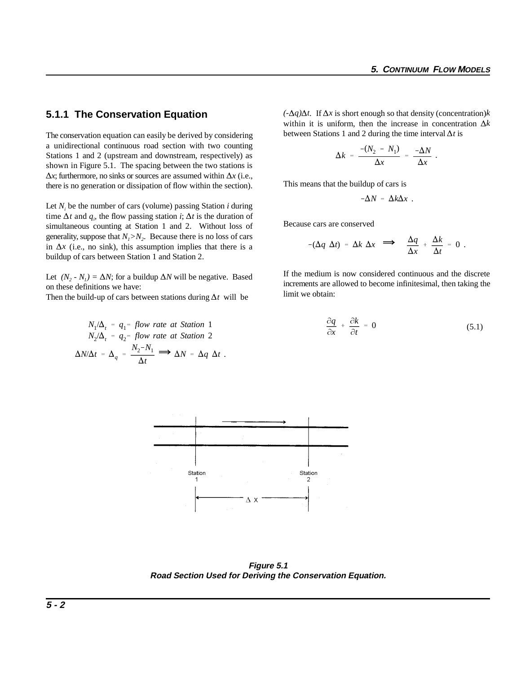#### **5.1.1 The Conservation Equation**

The conservation equation can easily be derived by considering a unidirectional continuous road section with two counting Stations 1 and 2 (upstream and downstream, respectively) as shown in Figure 5.1. The spacing between the two stations is  $\Delta x$ ; furthermore, no sinks or sources are assumed within  $\Delta x$  (i.e., there is no generation or dissipation of flow within the section).

Let *N<sub>i</sub>* be the number of cars (volume) passing Station *i* during time  $\Delta t$  and  $q_i$ , the flow passing station *i*;  $\Delta t$  is the duration of simultaneous counting at Station 1 and 2. Without loss of generality, suppose that  $N_i > N_2$ . Because there is no loss of cars in  $\Delta x$  (i.e., no sink), this assumption implies that there is a buildup of cars between Station 1 and Station 2.

Let  $(N_2 - N_1) = \Delta N$ ; for a buildup  $\Delta N$  will be negative. Based on these definitions we have:

Then the build-up of cars between stations during  $\Delta t$  will be

$$
N_1/\Delta_t = q_1 = flow \ rate \ at \ Station \ 1
$$
  

$$
N_2/\Delta_t = q_2 = flow \ rate \ at \ Station \ 2
$$
  

$$
\Delta N/\Delta t = \Delta_q = \frac{N_2 - N_1}{\Delta t} \implies \Delta N = \Delta q \ \Delta t \ .
$$

 $(-\Delta q)\Delta t$ . If  $\Delta x$  is short enough so that density (concentration)*k* within it is uniform, then the increase in concentration  $\Delta k$ between Stations 1 and 2 during the time interval  $\Delta t$  is

$$
\Delta k = \frac{-(N_2 - N_1)}{\Delta x} = \frac{-\Delta N}{\Delta x}.
$$

This means that the buildup of cars is

$$
-\Delta N = \Delta k \Delta x
$$
.

Because cars are conserved

e cars are conserved  
\n
$$
-(\Delta q \Delta t) = \Delta k \Delta x \implies \frac{\Delta q}{\Delta x} + \frac{\Delta k}{\Delta t} = 0.
$$

If the medium is now considered continuous and the discrete increments are allowed to become infinitesimal, then taking the limit we obtain:

$$
\frac{\partial q}{\partial x} + \frac{\partial k}{\partial t} = 0 \tag{5.1}
$$



**Figure 5.1 Road Section Used for Deriving the Conservation Equation.**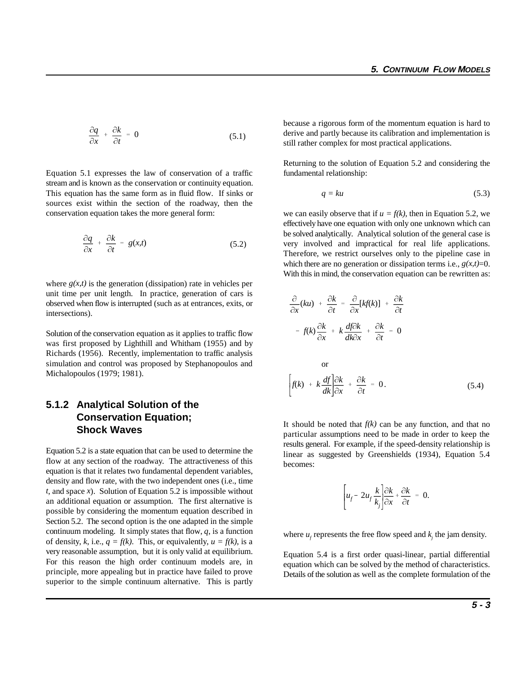$$
\frac{\partial q}{\partial x} + \frac{\partial k}{\partial t} = 0 \tag{5.1}
$$

Equation 5.1 expresses the law of conservation of a traffic fundamental relationship: stream and is known as the conservation or continuity equation. This equation has the same form as in fluid flow. If sinks or sources exist within the section of the roadway, then the conservation equation takes the more general form:

$$
\frac{\partial q}{\partial x} + \frac{\partial k}{\partial t} = g(x,t) \tag{5.2}
$$

where  $g(x,t)$  is the generation (dissipation) rate in vehicles per unit time per unit length. In practice, generation of cars is observed when flow is interrupted (such as at entrances, exits, or intersections).

Solution of the conservation equation as it applies to traffic flow was first proposed by Lighthill and Whitham (1955) and by Richards (1956). Recently, implementation to traffic analysis simulation and control was proposed by Stephanopoulos and Michalopoulos (1979; 1981).

## **5.1.2 Analytical Solution of the Conservation Equation; Shock Waves**

Equation 5.2 is a state equation that can be used to determine the flow at any section of the roadway. The attractiveness of this equation is that it relates two fundamental dependent variables, density and flow rate, with the two independent ones (i.e., time *t*, and space *x*). Solution of Equation 5.2 is impossible without an additional equation or assumption. The first alternative is possible by considering the momentum equation described in Section 5.2. The second option is the one adapted in the simple continuum modeling. It simply states that flow, *q*, is a function of density, k, i.e.,  $q = f(k)$ . This, or equivalently,  $u = f(k)$ , is a very reasonable assumption, but it is only valid at equilibrium. For this reason the high order continuum models are, in principle, more appealing but in practice have failed to prove superior to the simple continuum alternative. This is partly

because a rigorous form of the momentum equation is hard to derive and partly because its calibration and implementation is still rather complex for most practical applications.

Returning to the solution of Equation 5.2 and considering the

$$
q = ku \tag{5.3}
$$

we can easily observe that if  $u = f(k)$ , then in Equation 5.2, we effectively have one equation with only one unknown which can be solved analytically. Analytical solution of the general case is very involved and impractical for real life applications. Therefore, we restrict ourselves only to the pipeline case in which there are no generation or dissipation terms i.e.,  $g(x,t)=0$ . With this in mind, the conservation equation can be rewritten as:

$$
\frac{\partial}{\partial x}(ku) + \frac{\partial k}{\partial t} = \frac{\partial}{\partial x}[kf(k)] + \frac{\partial k}{\partial t}
$$
\n
$$
= f(k)\frac{\partial k}{\partial x} + k\frac{df\partial k}{dk\partial x} + \frac{\partial k}{\partial t} = 0
$$
\nor\n
$$
\int f(k) + k\frac{df}{dk}\frac{\partial k}{\partial x} + \frac{\partial k}{\partial t} = 0.
$$
\n(5.4)

It should be noted that  $f(k)$  can be any function, and that no particular assumptions need to be made in order to keep the results general. For example, if the speed-density relationship is linear as suggested by Greenshields (1934), Equation 5.4 becomes:

$$
\left[ u_f - 2u_f \frac{k}{k_j} \right] \frac{\partial k}{\partial x} + \frac{\partial k}{\partial t} = 0.
$$

where  $u_t$  represents the free flow speed and  $k$ , the jam density.

Equation 5.4 is a first order quasi-linear, partial differential equation which can be solved by the method of characteristics. Details of the solution as well as the complete formulation of the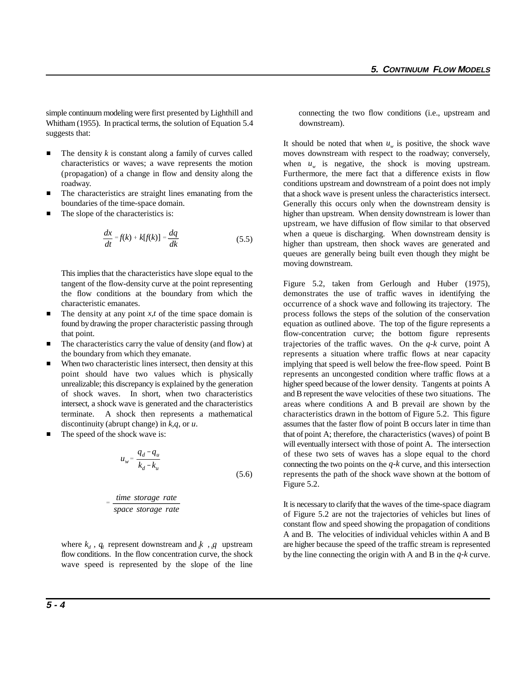simple continuum modeling were first presented by Lighthill and connecting the two flow conditions (i.e., upstream and Whitham (1955). In practical terms, the solution of Equation 5.4 downstream). suggests that:

- $\blacksquare$ characteristics or waves; a wave represents the motion (propagation) of a change in flow and density along the roadway.
- $\blacksquare$  The characteristics are straight lines emanating from the boundaries of the time-space domain.
- $\blacksquare$ The slope of the characteristics is:

$$
\frac{dx}{dt} = f(k) + k[f(k)] = \frac{dq}{dk} \tag{5.5}
$$

This implies that the characteristics have slope equal to the tangent of the flow-density curve at the point representing the flow conditions at the boundary from which the characteristic emanates.

- $\blacksquare$
- $\blacksquare$  The characteristics carry the value of density (and flow) at the boundary from which they emanate.
- $\blacksquare$  When two characteristic lines intersect, then density at this point should have two values which is physically unrealizable; this discrepancy is explained by the generation of shock waves. In short, when two characteristics intersect, a shock wave is generated and the characteristics terminate. A shock then represents a mathematical
- $\blacksquare$

$$
u_w = \frac{q_d - q_u}{k_d - k_u} \tag{5.6}
$$

$$
= \frac{\text{time storage rate}}{\text{space storage rate}}
$$

flow conditions. In the flow concentration curve, the shock wave speed is represented by the slope of the line

 The density *k* is constant along a family of curves called moves downstream with respect to the roadway; conversely, It should be noted that when  $u_w$  is positive, the shock wave when  $u_{\nu}$  is negative, the shock is moving upstream. Furthermore, the mere fact that a difference exists in flow conditions upstream and downstream of a point does not imply that a shock wave is present unless the characteristics intersect. Generally this occurs only when the downstream density is higher than upstream. When density downstream is lower than upstream, we have diffusion of flow similar to that observed when a queue is discharging. When downstream density is higher than upstream, then shock waves are generated and queues are generally being built even though they might be moving downstream.

The density at any point *x*,*t* of the time space domain is process follows the steps of the solution of the conservation found by drawing the proper characteristic passing through equation as outlined above. The top of the figure represents a that point. **flow-concentration** curve; the bottom figure represents discontinuity (abrupt change) in *k,q*, or *u*. assumes that the faster flow of point B occurs later in time than The speed of the shock wave is: that of point A; therefore, the characteristics (waves) of point B will eventually intersect with those of point A. The intersection of these two sets of waves has a slope equal to the chord Figure 5.2, taken from Gerlough and Huber (1975), demonstrates the use of traffic waves in identifying the occurrence of a shock wave and following its trajectory. The trajectories of the traffic waves. On the *q-k* curve, point A represents a situation where traffic flows at near capacity implying that speed is well below the free-flow speed. Point B represents an uncongested condition where traffic flows at a higher speed because of the lower density. Tangents at points A and B represent the wave velocities of these two situations. The areas where conditions A and B prevail are shown by the characteristics drawn in the bottom of Figure 5.2. This figure connecting the two points on the *q-k* curve, and this intersection represents the path of the shock wave shown at the bottom of Figure 5.2.

where  $k_d$ , q<sub>u</sub> represent downstream and  $k$ , q upstream are higher because the speed of the traffic stream is represented It is necessary to clarify that the waves of the time-space diagram of Figure 5.2 are not the trajectories of vehicles but lines of constant flow and speed showing the propagation of conditions A and B. The velocities of individual vehicles within A and B by the line connecting the origin with A and B in the *q-k* curve.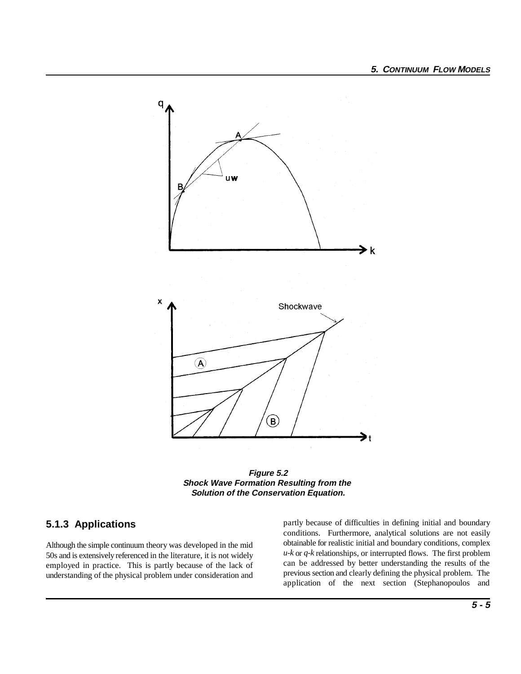

**Figure 5.2 Shock Wave Formation Resulting from the Solution of the Conservation Equation.**

# **5.1.3 Applications**

Although the simple continuum theory was developed in the mid 50s and is extensively referenced in the literature, it is not widely employed in practice. This is partly because of the lack of understanding of the physical problem under consideration and

partly because of difficulties in defining initial and boundary conditions. Furthermore, analytical solutions are not easily obtainable for realistic initial and boundary conditions, complex *u-k* or *q-k* relationships, or interrupted flows. The first problem can be addressed by better understanding the results of the previous section and clearly defining the physical problem. The application of the next section (Stephanopoulos and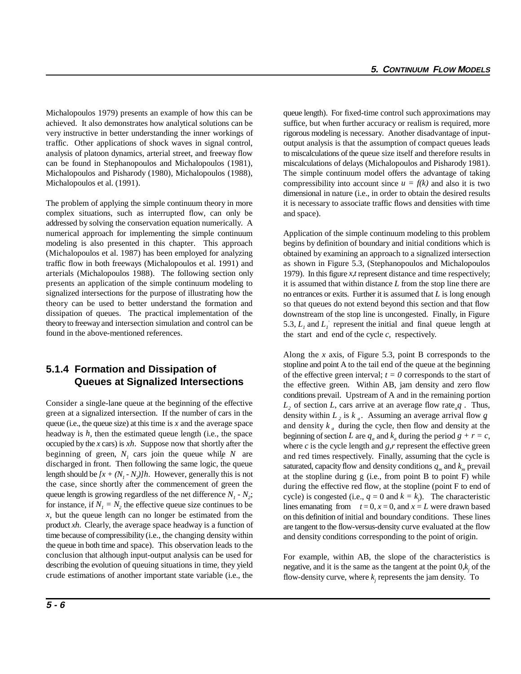Michalopoulos 1979) presents an example of how this can be queue length). For fixed-time control such approximations may achieved. It also demonstrates how analytical solutions can be suffice, but when further accuracy or realism is required, more very instructive in better understanding the inner workings of rigorous modeling is necessary. Another disadvantage of inputtraffic. Other applications of shock waves in signal control, output analysis is that the assumption of compact queues leads analysis of platoon dynamics, arterial street, and freeway flow to miscalculations of the queue size itself and therefore results in can be found in Stephanopoulos and Michalopoulos (1981), miscalculations of delays (Michalopoulos and Pisharody 1981). Michalopoulos and Pisharody (1980), Michalopoulos (1988), The simple continuum model offers the advantage of taking Michalopoulos et al. (1991).

The problem of applying the simple continuum theory in more complex situations, such as interrupted flow, can only be addressed by solving the conservation equation numerically. A numerical approach for implementing the simple continuum modeling is also presented in this chapter. This approach (Michalopoulos et al. 1987) has been employed for analyzing traffic flow in both freeways (Michalopoulos et al. 1991) and arterials (Michalopoulos 1988). The following section only presents an application of the simple continuum modeling to signalized intersections for the purpose of illustrating how the theory can be used to better understand the formation and dissipation of queues. The practical implementation of the theory to freeway and intersection simulation and control can be found in the above-mentioned references.

# **5.1.4 Formation and Dissipation of Queues at Signalized Intersections**

Consider a single-lane queue at the beginning of the effective green at a signalized intersection. If the number of cars in the queue (i.e., the queue size) at this time is *x* and the average space headway is *h*, then the estimated queue length (i.e., the space occupied by the *x* cars) is *xh*. Suppose now that shortly after the beginning of green,  $N_i$  cars join the queue while  $N$  are discharged in front. Then following the same logic, the queue length should be  $[x + (N_i - N_j)]h$ . However, generally this is not the case, since shortly after the commencement of green the queue length is growing regardless of the net difference  $N_i$  -  $N_i$ ; for instance, if  $N_1 = N_2$ , the effective queue size continues to be *x*, but the queue length can no longer be estimated from the product *xh*. Clearly, the average space headway is a function of time because of compressibility (i.e., the changing density within the queue in both time and space). This observation leads to the conclusion that although input-output analysis can be used for describing the evolution of queuing situations in time, they yield crude estimations of another important state variable (i.e., the

compressibility into account since  $u = f(k)$  and also it is two dimensional in nature (i.e., in order to obtain the desired results it is necessary to associate traffic flows and densities with time and space).

Application of the simple continuum modeling to this problem begins by definition of boundary and initial conditions which is obtained by examining an approach to a signalized intersection as shown in Figure 5.3, (Stephanopoulos and Michalopoulos 1979). In this figure *x,t* represent distance and time respectively; it is assumed that within distance *L* from the stop line there are no entrances or exits. Further it is assumed that *L* is long enough so that queues do not extend beyond this section and that flow downstream of the stop line is uncongested. Finally, in Figure 5.3,  $L_i$  and  $L_i$ <sup>'</sup> represent the initial and final queue length at the start and end of the cycle *c*, respectively*.*

Along the *x* axis, of Figure 5.3, point B corresponds to the stopline and point A to the tail end of the queue at the beginning of the effective green interval;  $t = 0$  corresponds to the start of the effective green. Within AB, jam density and zero flow conditions prevail. Upstream of A and in the remaining portion *L*, of section *L*, cars arrive at an average flow rate<sub>*g*</sub> *a*. Thus, density within  $L_2$  is  $k_a$ . Assuming an average arrival flow  $q$ and density  $k_a$  during the cycle, then flow and density at the beginning of section *L* are  $q_a$  and  $k_a$  during the period  $g + r = c$ , where *c* is the cycle length and *g,r* represent the effective green and red times respectively. Finally, assuming that the cycle is saturated, capacity flow and density conditions  $q_m$  and  $k_m$  prevail at the stopline during g (i.e., from point B to point F) while during the effective red flow, at the stopline (point F to end of cycle) is congested (i.e.,  $q = 0$  and  $k = k$ ). The characteristic lines emanating from  $t = 0$ ,  $x = 0$ , and  $x = L$  were drawn based on this definition of initial and boundary conditions. These lines are tangent to the flow-versus-density curve evaluated at the flow and density conditions corresponding to the point of origin.

For example, within AB, the slope of the characteristics is negative, and it is the same as the tangent at the point  $0, k$  of the flow-density curve, where  $k_i$  represents the jam density. To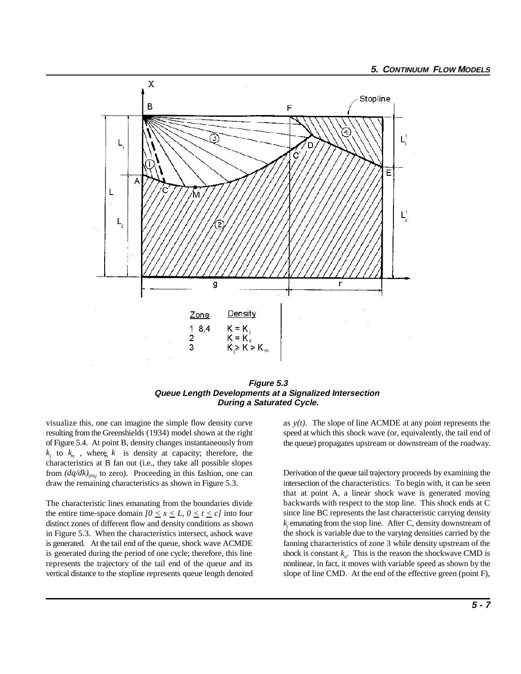

#### **Figure 5.3 Queue Length Developments at a Signalized Intersection During a Saturated Cycle.**

visualize this, one can imagine the simple flow density curve resulting from the Greenshields (1934) model shown at the right of Figure 5.4. At point B, density changes instantaneously from  $k_i$  to  $k_m$ , where  $k_i$  is density at capacity; therefore, the characteristics at B fan out (i.e., they take all possible slopes from  $\left(\frac{dq}{dk}\right)_{\varphi_{ki}}$  to zero). Proceeding in this fashion, one can draw the remaining characteristics as shown in Figure 5.3.

The characteristic lines emanating from the boundaries divide the entire time-space domain  $[0 \le x \le L, 0 \le t \le c]$  into four distinct zones of different flow and density conditions as shown in Figure 5.3. When the characteristics intersect, ashock wave is generated. At the tail end of the queue, shock wave ACMDE is generated during the period of one cycle; therefore, this line shock is constant  $k_a$ . This is the reason the shockwave CMD is represents the trajectory of the tail end of the queue and its nonlinear, in fact, it moves with variable speed as shown by the vertical distance to the stopline represents queue length denoted slope of line CMD. At the end of the effective green (point F),

as  $y(t)$ . The slope of line ACMDE at any point represents the speed at which this shock wave (or, equivalently, the tail end of the queue) propagates upstream or downstream of the roadway.

Derivation of the queue tail trajectory proceeds by examining the intersection of the characteristics. To begin with, it can be seen that at point A, a linear shock wave is generated moving backwards with respect to the stop line. This shock ends at C since line BC represents the last characteristic carrying density  $k_i$  emanating from the stop line. After C, density downstream of the shock is variable due to the varying densities carried by the fanning characteristics of zone 3 while density upstream of the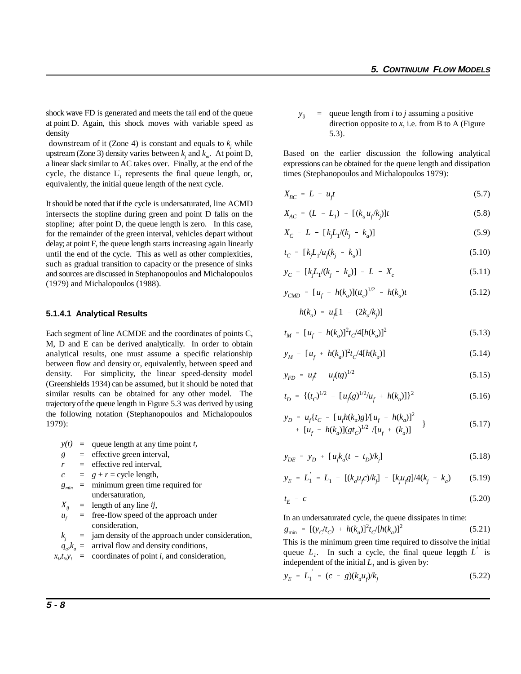shock wave FD is generated and meets the tail end of the queue at point D. Again, this shock moves with variable speed as density

downstream of it (Zone 4) is constant and equals to  $k_i$  while upstream (Zone 3) density varies between  $k_i$  and  $k_m$ . At point D, Based on the earlier discussion the following analytical a linear slack similar to AC takes over. Finally, at the end of the expressions can be obtained for the queue length and dissipation cycle, the distance  $L<sub>I</sub>$  represents the final queue length, or, equivalently, the initial queue length of the next cycle.

It should be noted that if the cycle is undersaturated, line ACMD intersects the stopline during green and point D falls on the stopline; after point D, the queue length is zero. In this case, for the remainder of the green interval, vehicles depart without delay; at point F, the queue length starts increasing again linearly until the end of the cycle. This as well as other complexities, such as gradual transition to capacity or the presence of sinks and sources are discussed in Stephanopoulos and Michalopoulos (1979) and Michalopoulos (1988).

#### **5.1.4.1 Analytical Results**

Each segment of line ACMDE and the coordinates of points C, M, D and E can be derived analytically. In order to obtain analytical results, one must assume a specific relationship between flow and density or, equivalently, between speed and density. For simplicity, the linear speed-density model (Greenshields 1934) can be assumed, but it should be noted that similar results can be obtained for any other model. The trajectory of the queue length in Figure 5.3 was derived by using the following notation (Stephanopoulos and Michalopoulos 1979):

 $y(t)$  = queue length at any time point *t*,

- *g* = effective green interval,
- = effective red interval,

 $c = g + r = \text{cycle length}$ ,

- $g_{min}$  = minimum green time required for undersaturation,
- $X_{ii}$  = length of any line *ij*,
- $u_t$  = free-flow speed of the approach under consideration,
- $k_i$  = jam density of the approach under consideration,
- $q_{a}$ *k<sub>a</sub>* = arrival flow and density conditions,
- $x_i t_i y_i$  = coordinates of point *i*, and consideration,

 $y_{ii}$  = queue length from *i* to *j* assuming a positive direction opposite to  $x$ , i.e. from B to A (Figure 5.3).

times (Stephanopoulos and Michalopoulos 1979):

$$
X_{BC} = L - u_t t \tag{5.7}
$$

$$
X_{AC} = (L - L_1) - [(k_a u_f / k_j)]t
$$
\n(5.8)

$$
X_C = L - [k_j L_1 / (k_j - k_a)] \tag{5.9}
$$

$$
t_C = [kJ_1/u_f(k_j - k_a)] \tag{5.10}
$$

$$
y_C = [k_j L_1 / (k_j - k_a)] = L - X_c \tag{5.11}
$$

$$
y_{CMD} = [u_f + h(k_a)](tt_c)^{1/2} - h(k_a)t
$$
 (5.12)

$$
h(k_a) = u_f [1 - (2k_a/k_j)]
$$
  

$$
t_M = [u_f + h(k_a)]^2 t_c / 4[h(k_a)]^2
$$
 (5.13)

$$
y_M = [u_f + h(k_a)]^2 t_c / 4[h(k_a)] \tag{5.14}
$$

$$
y_{FD} = u_f t - u_f(tg)^{1/2}
$$
 (5.15)

$$
t_D = \{(t_C)^{1/2} + [u_f(g)^{1/2}/u_f + h(k_a)]\}^2
$$
 (5.16)

$$
y_D = u_f \{ t_C - [u_f h(k_a)g]/[u_f + h(k_a)]^2 + [u_f - h(k_a)](gt_C)^{1/2} / [u_f + (k_a)] \}
$$
 (5.17)

$$
y_{DE} = y_D + [u_j k_a (t - t_D) / k_j]
$$
 (5.18)

$$
y_E = L_1 = L_1 + [(k_a u_j c)/k_j] - [k_j u_j g]/4(k_j - k_a)
$$
 (5.19)

$$
t_E = c \tag{5.20}
$$

In an undersaturated cycle, the queue dissipates in time:

$$
g_{\min} = [(y_c/t_c) + h(k_a)]^2 t_c/[h(k_a)]^2
$$
 (5.21)

This is the minimum green time required to dissolve the initial queue  $L_i$ . In such a cycle, the final queue length  $L_i$  is independent of the initial  $L_1$  and is given by:

$$
y_E = L_1^{\prime} = (c - g)(k_a u_f) / k_j \tag{5.22}
$$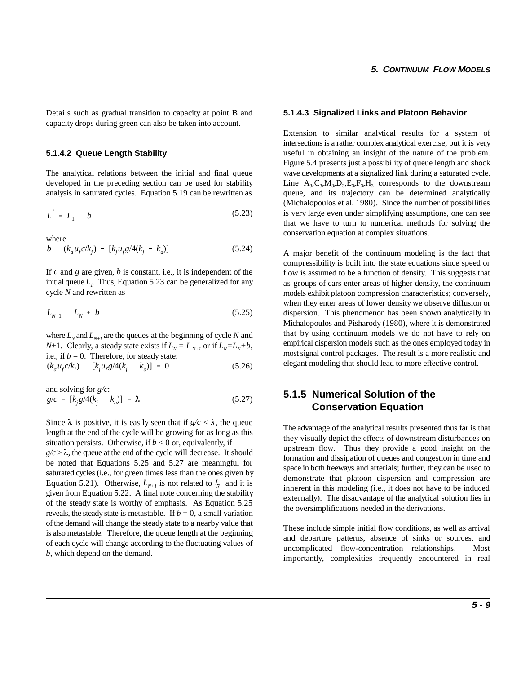Details such as gradual transition to capacity at point B and **5.1.4.3 Signalized Links and Platoon Behavior** capacity drops during green can also be taken into account.

#### **5.1.4.2 Queue Length Stability**

developed in the preceding section can be used for stability Line  $A_3, C_3, M_3, D_3, E_3, F_3, H_3$  corresponds to the downstream

$$
L_1 = L_1 + b \tag{5.23}
$$

where

$$
b = (k_a u_f c / k_j) - [k_j u_f g / 4(k_j - k_a)] \tag{5.24}
$$

If *c* and *g* are given, *b* is constant, i.e., it is independent of the initial queue  $L<sub>r</sub>$ . Thus, Equation 5.23 can be generalized for any cycle *N* and rewritten as

$$
L_{N+1} = L_N + b \tag{5.25}
$$

where  $L_N$  and  $L_{N+1}$  are the queues at the beginning of cycle *N* and *N*+1. Clearly, a steady state exists if  $L_N = L_{N+1}$  or if  $L_N = L_N + b$ ,

i.e., if 
$$
b = 0
$$
. Therefore, for steady state:  
\n $(k_a u_f c/k_j) - [k_j u_f g/4(k_j - k_a)] = 0$  (5.26)

and solving for *g/c*:

$$
g/c = [k_j g/4(k_j - k_a)] = \lambda \tag{5.27}
$$

Since  $\lambda$  is positive, it is easily seen that if  $g/c < \lambda$ , the queue length at the end of the cycle will be growing for as long as this situation persists. Otherwise, if  $b < 0$  or, equivalently, if

 $g/c > \lambda$ , the queue at the end of the cycle will decrease. It should be noted that Equations 5.25 and 5.27 are meaningful for saturated cycles (i.e., for green times less than the ones given by Equation 5.21). Otherwise,  $L_{N+1}$  is not related to  $L_N$  and it is given from Equation 5.22. A final note concerning the stability of the steady state is worthy of emphasis. As Equation 5.25 reveals, the steady state is metastable. If  $b = 0$ , a small variation of the demand will change the steady state to a nearby value that is also metastable. Therefore, the queue length at the beginning of each cycle will change according to the fluctuating values of *b*, which depend on the demand.

The analytical relations between the initial and final queue wave developments at a signalized link during a saturated cycle. analysis in saturated cycles. Equation 5.19 can be rewritten as queue, and its trajectory can be determined analytically is very large even under simplifying assumptions, one can see Extension to similar analytical results for a system of intersections is a rather complex analytical exercise, but it is very useful in obtaining an insight of the nature of the problem. Figure 5.4 presents just a possibility of queue length and shock (Michalopoulos et al. 1980). Since the number of possibilities that we have to turn to numerical methods for solving the conservation equation at complex situations.

> A major benefit of the continuum modeling is the fact that compressibility is built into the state equations since speed or flow is assumed to be a function of density. This suggests that as groups of cars enter areas of higher density, the continuum models exhibit platoon compression characteristics; conversely, when they enter areas of lower density we observe diffusion or dispersion. This phenomenon has been shown analytically in Michalopoulos and Pisharody (1980), where it is demonstrated that by using continuum models we do not have to rely on empirical dispersion models such as the ones employed today in most signal control packages. The result is a more realistic and elegant modeling that should lead to more effective control.

# **5.1.5 Numerical Solution of the Conservation Equation**

The advantage of the analytical results presented thus far is that they visually depict the effects of downstream disturbances on upstream flow. Thus they provide a good insight on the formation and dissipation of queues and congestion in time and space in both freeways and arterials; further, they can be used to demonstrate that platoon dispersion and compression are inherent in this modeling (i.e., it does not have to be induced externally). The disadvantage of the analytical solution lies in the oversimplifications needed in the derivations.

These include simple initial flow conditions, as well as arrival and departure patterns, absence of sinks or sources, and uncomplicated flow-concentration relationships. Most importantly, complexities frequently encountered in real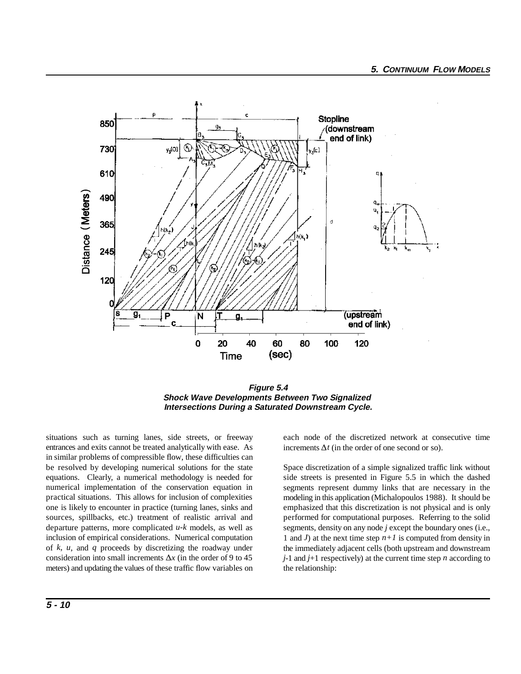

**Figure 5.4 Shock Wave Developments Between Two Signalized Intersections During a Saturated Downstream Cycle.**

situations such as turning lanes, side streets, or freeway each node of the discretized network at consecutive time entrances and exits cannot be treated analytically with ease. As in similar problems of compressible flow, these difficulties can be resolved by developing numerical solutions for the state equations. Clearly, a numerical methodology is needed for numerical implementation of the conservation equation in practical situations. This allows for inclusion of complexities one is likely to encounter in practice (turning lanes, sinks and sources, spillbacks, etc.) treatment of realistic arrival and departure patterns, more complicated *u-k* models, as well as inclusion of empirical considerations. Numerical computation of *k, u*, and *q* proceeds by discretizing the roadway under consideration into small increments  $\Delta x$  (in the order of 9 to 45 meters) and updating the values of these traffic flow variables on

increments  $\Delta t$  (in the order of one second or so).

Space discretization of a simple signalized traffic link without side streets is presented in Figure 5.5 in which the dashed segments represent dummy links that are necessary in the modeling in this application (Michalopoulos 1988). It should be emphasized that this discretization is not physical and is only performed for computational purposes. Referring to the solid segments, density on any node *j* except the boundary ones (i.e., 1 and *J*) at the next time step *n+1* is computed from density in the immediately adjacent cells (both upstream and downstream *j*-1 and *j*+1 respectively) at the current time step *n* according to the relationship: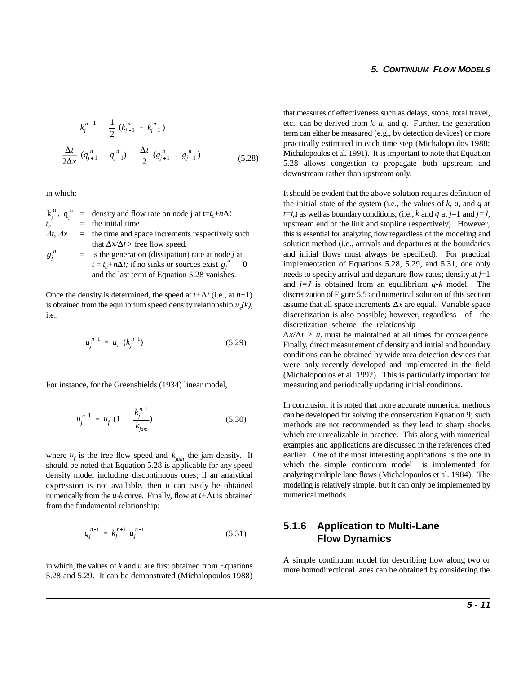$$
k_{j}^{n+1} = \frac{1}{2} (k_{j+1}^{n} + k_{j-1}^{n})
$$
  

$$
- \frac{\Delta t}{2\Delta x} (q_{j+1}^{n} - q_{j-1}^{n}) + \frac{\Delta t}{2} (g_{j+1}^{n} + g_{j-1}^{n})
$$
(5.28)

in which:

$$
k_j^n, q_j^n = \text{density and flow rate on node } j \text{ at } t = t_0 + n\Delta t
$$
  
\n
$$
t_0 = \text{the initial time}
$$
  
\n
$$
\Delta t, \Delta x = \text{the time and space increments respectively such}
$$
  
\n
$$
g_j^n = \text{is the generation (dissipation) rate at node } j \text{ at}
$$
  
\n
$$
t = t_0 + n\Delta t; \text{ if no sinks or sources exist } g_j^n = 0
$$

Once the density is determined, the speed at  $t + \Delta t$  (i.e., at  $n+1$ ) is obtained from the equilibrium speed density relationship  $u_e(k)$ , i.e.,

$$
u_j^{n+1} = u_e \ (k_j^{n+1}) \tag{5.29}
$$

and the last term of Equation 5.28 vanishes.

For instance, for the Greenshields (1934) linear model,

$$
u_j^{n+1} = u_f \left(1 - \frac{k_j^{n+1}}{k_{jam}}\right) \tag{5.30}
$$

where  $u_f$  is the free flow speed and  $k_{jam}$  the jam density. It should be noted that Equation 5.28 is applicable for any speed density model including discontinuous ones; if an analytical expression is not available, then *u* can easily be obtained numerically from the  $u$ - $k$  curve. Finally, flow at  $t + \Delta t$  is obtained from the fundamental relationship:

$$
q_j^{n+1} = k_j^{n+1} u_j^{n+1}
$$
 (5.31)

in which, the values of *k* and *u* are first obtained from Equations 5.28 and 5.29. It can be demonstrated (Michalopoulos 1988) that measures of effectiveness such as delays, stops, total travel, etc., can be derived from *k*, *u*, and *q*. Further, the generation term can either be measured (e.g., by detection devices) or more practically estimated in each time step (Michalopoulos 1988; Michalopoulos et al. 1991). It is important to note that Equation 5.28 allows congestion to propagate both upstream and downstream rather than upstream only.

this is essential for analyzing flow regardless of the modeling and It should be evident that the above solution requires definition of the initial state of the system (i.e., the values of *k*, *u*, and *q* at  $t=t_0$  as well as boundary conditions, (i.e., *k* and *q* at *j*=1 and *j*=*J*, upstream end of the link and stopline respectively). However, solution method (i.e., arrivals and departures at the boundaries and initial flows must always be specified). For practical implementation of Equations 5.28, 5.29, and 5.31, one only needs to specify arrival and departure flow rates; density at *j*=1 and *j=J* is obtained from an equilibrium *q-k* model. The discretization of Figure 5.5 and numerical solution of this section assume that all space increments  $\Delta x$  are equal. Variable space discretization is also possible; however, regardless of the discretization scheme the relationship

 $\Delta x/\Delta t$  >  $u_t$  must be maintained at all times for convergence. Finally, direct measurement of density and initial and boundary conditions can be obtained by wide area detection devices that were only recently developed and implemented in the field (Michalopoulos et al. 1992). This is particularly important for measuring and periodically updating initial conditions.

In conclusion it is noted that more accurate numerical methods can be developed for solving the conservation Equation 9; such methods are not recommended as they lead to sharp shocks which are unrealizable in practice. This along with numerical examples and applications are discussed in the references cited earlier. One of the most interesting applications is the one in which the simple continuum model is implemented for analyzing multiple lane flows (Michalopoulos et al. 1984). The modeling is relatively simple, but it can only be implemented by numerical methods.

#### **5.1.6 Application to Multi-Lane Flow Dynamics**

A simple continuum model for describing flow along two or more homodirectional lanes can be obtained by considering the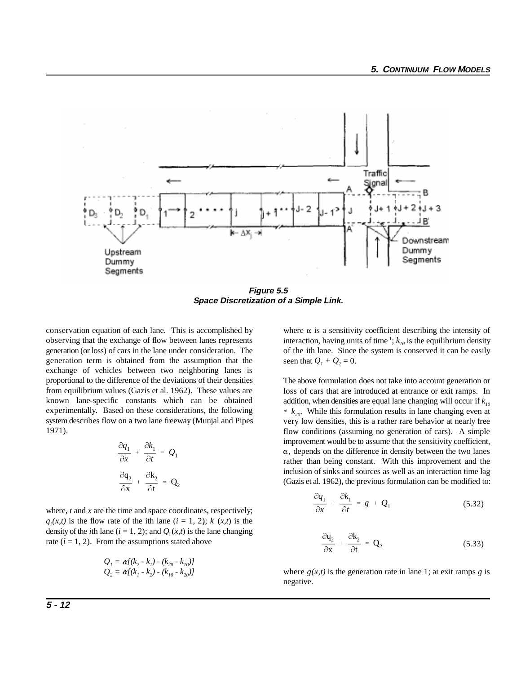

**Figure 5.5 Space Discretization of a Simple Link.**

conservation equation of each lane. This is accomplished by where  $\alpha$  is a sensitivity coefficient describing the intensity of observing that the exchange of flow between lanes represents generation (or loss) of cars in the lane under consideration. The generation term is obtained from the assumption that the exchange of vehicles between two neighboring lanes is proportional to the difference of the deviations of their densities from equilibrium values (Gazis et al. 1962). These values are known lane-specific constants which can be obtained experimentally. Based on these considerations, the following system describes flow on a two lane freeway (Munjal and Pipes 1971).

$$
\frac{\partial q_1}{\partial x} + \frac{\partial k_1}{\partial t} = Q_1
$$

$$
\frac{\partial q_2}{\partial x} + \frac{\partial k_2}{\partial t} = Q_2
$$

where, *t* and *x* are the time and space coordinates, respectively;  $q_i(x,t)$  is the flow rate of the ith lane  $(i = 1, 2)$ ;  $k(x,t)$  is the density of the *i*th lane ( $i = 1, 2$ ); and  $Q_i(x, t)$  is the lane changing rate  $(i = 1, 2)$ . From the assumptions stated above

$$
Q_{1} = \alpha [(k_{2} - k_{1}) - (k_{20} - k_{10})]
$$
  
\n
$$
Q_{2} = \alpha [(k_{1} - k_{2}) - (k_{10} - k_{20})]
$$

interaction, having units of time<sup>-1</sup>;  $k_{10}$  is the equilibrium density of the ith lane. Since the system is conserved it can be easily seen that  $Q_1 + Q_2 = 0$ .

The above formulation does not take into account generation or loss of cars that are introduced at entrance or exit ramps. In addition, when densities are equal lane changing will occur if  $k_{10}$  $\neq k_{20}$ . While this formulation results in lane changing even at very low densities, this is a rather rare behavior at nearly free flow conditions (assuming no generation of cars). A simple improvement would be to assume that the sensitivity coefficient,  $\alpha$ , depends on the difference in density between the two lanes rather than being constant. With this improvement and the inclusion of sinks and sources as well as an interaction time lag (Gazis et al. 1962), the previous formulation can be modified to:

$$
\frac{\partial q_1}{\partial x} + \frac{\partial k_1}{\partial t} = g + Q_1 \tag{5.32}
$$

$$
\frac{\partial \mathbf{q}_2}{\partial \mathbf{x}} + \frac{\partial \mathbf{k}_2}{\partial t} = \mathbf{Q}_2 \tag{5.33}
$$

where  $g(x,t)$  is the generation rate in lane 1; at exit ramps *g* is negative.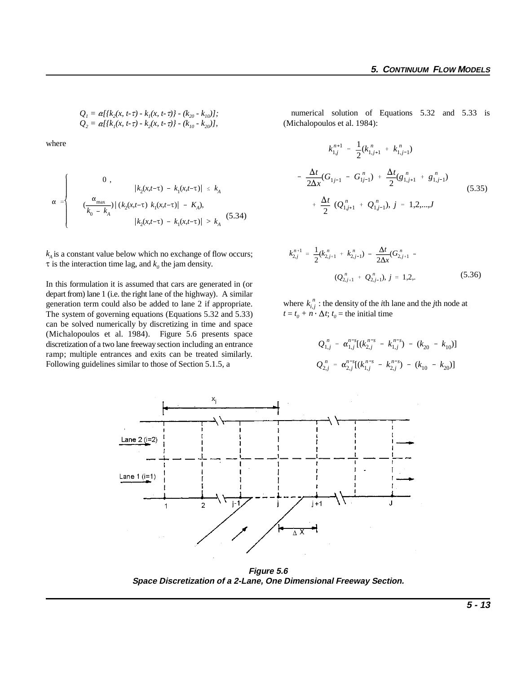$Q_1 = \alpha [k_2(x, t-\tau) - k_1(x, t-\tau)] - (k_{20} - k_{10})];$  $Q_2 = \alpha [k_1(x, t-\tau) - k_2(x, t-\tau)] - (k_{10} - k_{20})],$ 

where

$$
\alpha = \begin{cases}\n0, & |k_2(x, t-\tau) - k_1(x, t-\tau)| \le k_A \\
\frac{\alpha_{\max}}{k_0 - k_A} \left| (k_2(x, t-\tau) k_1(x, t-\tau)) - K_A \right|, & (5.34) \\
|k_2(x, t-\tau) - k_1(x, t-\tau)| > k_A\n\end{cases}
$$

 $k_A$  is a constant value below which no exchange of flow occurs;  $\tau$  is the interaction time lag, and  $k_0$  the jam density.

In this formulation it is assumed that cars are generated in (or depart from) lane 1 (i.e. the right lane of the highway). A similar generation term could also be added to lane 2 if appropriate. The system of governing equations (Equations 5.32 and 5.33) can be solved numerically by discretizing in time and space (Michalopoulos et al. 1984). Figure 5.6 presents space discretization of a two lane freeway section including an entrance ramp; multiple entrances and exits can be treated similarly. Following guidelines similar to those of Section 5.1.5, a

 numerical solution of Equations 5.32 and 5.33 is (Michalopoulos et al. 1984):

$$
k_{1,j}^{n+1} = \frac{1}{2} (k_{1,j+1}^n + k_{1,j-1}^n)
$$
  
- 
$$
\frac{\Delta t}{2\Delta x} (G_{1,j-1} - G_{1,j-1}^n) + \frac{\Delta t}{2} (g_{1,j+1}^n + g_{1,j-1}^n)
$$
  
+ 
$$
\frac{\Delta t}{2} (Q_{1,j+1}^n + Q_{1,j-1}^n), j = 1,2,...,J
$$
  
(5.35)

$$
k_{2,j}^{n+1} = \frac{1}{2}(k_{2,j+1}^n + k_{2,j-1}^n) - \frac{\Delta t}{2\Delta x}(G_{2,j+1}^n -
$$
  

$$
(Q_{2,j+1}^n + Q_{2,j-1}^n), j = 1,2, \qquad (5.36)
$$

where  $k_{i,j}^n$ : the density of the *i*th lane and the *j*th node at  $t = t_0 + n \cdot \Delta t$ ;  $t_0$  = the initial time

$$
Q_{1,j}^{n} = \alpha_{1,j}^{n-s} [(k_{2,j}^{n-s} - k_{1,j}^{n-s}) - (k_{20} - k_{10})]
$$
  

$$
Q_{2,j}^{n} = \alpha_{2,j}^{n-s} [(k_{1,j}^{n-s} - k_{2,j}^{n-s}) - (k_{10} - k_{20})]
$$



 $\frac{1}{2}$ 

**Figure 5.6 Space Discretization of a 2-Lane, One Dimensional Freeway Section.**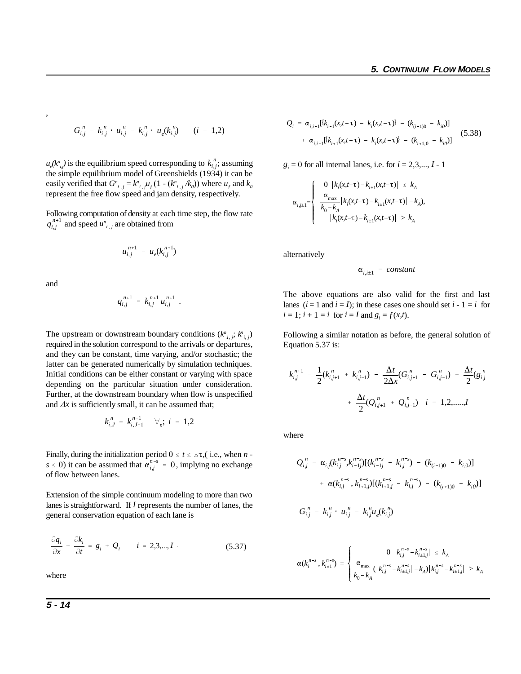$$
G_{i,j}^n = k_{i,j}^n \cdot u_{i,j}^n = k_{i,j}^n \cdot u_e(k_{i,j}^n) \qquad (i = 1,2)
$$

 $u_e(k_{i,j}^n)$  is the equilibrium speed corresponding to  $k_{i,j}^n$ ; assuming the simple equilibrium model of Greenshields (1934) it can be easily verified that  $G_{i,j}^{n} = k_{i,j}^{n} u_f (1 - (k_{i,j}^{n}/k_0))$  where  $u_f$  and  $k_0$ represent the free flow speed and jam density, respectively.

 $q_{i,j}^{n+1}$  and speed  $u_{i,j}^n$  are obtained from Following computation of density at each time step, the flow rate

$$
u_{i,j}^{n+1} = u_e(k_{i,j}^{n+1})
$$

and

,

$$
q_{i,j}^{n+1} = k_{i,j}^{n+1} u_{i,j}^{n+1}.
$$

The upstream or downstream boundary conditions  $(k_{i,j}^n, k_{i,j}^n)$ required in the solution correspond to the arrivals or departures, and they can be constant, time varying, and/or stochastic; the latter can be generated numerically by simulation techniques. Initial conditions can be either constant or varying with space depending on the particular situation under consideration. Further, at the downstream boundary when flow is unspecified and  $\Delta x$  is sufficiently small, it can be assumed that;

$$
k_{i,J}^n = k_{i,J-1}^{n-1} \quad \forall_n; i = 1,2
$$

 $s \le 0$ ) it can be assumed that  $\alpha_{i,j}^{n-s} = 0$ , implying no exchange Finally, during the initialization period  $0 \le t \le \Delta \tau$ , (i.e., when *n* of flow between lanes.

Extension of the simple continuum modeling to more than two lanes is straightforward. If *I* represents the number of lanes, the general conservation equation of each lane is

$$
\frac{\partial q_i}{\partial x} + \frac{\partial k_i}{\partial t} = g_i + Q_i \qquad i = 2, 3, \dots, I \qquad (5.37)
$$

where

$$
Q_{i} = \alpha_{i,i-1} [k_{i-1}(x,t-\tau) - k_{i}(x,t-\tau)] - (k_{(i-1)0} - k_{i0})]
$$
  
+  $\alpha_{i,i+1} [k_{i+1}(x,t-\tau) - k_{i}(x,t-\tau)] - (k_{i+1,0} - k_{i0})]$  (5.38)

 $g_i = 0$  for all internal lanes, i.e. for  $i = 2,3,..., I - 1$ 

$$
\alpha_{i,j\pm1} = \begin{cases} 0 & |k_i(x,t-\tau) - k_{i\pm1}(x,t-\tau)| \leq k_A \\ \frac{\alpha_{\max}}{k_0 - k_A} & |k_i(x,t-\tau) - k_{i\pm1}(x,t-\tau)| - k_A, \\ |k_i(x,t-\tau) - k_{i\pm1}(x,t-\tau)| > k_A \end{cases}
$$

alternatively

$$
\alpha_{i,i\pm 1} = constant
$$

The above equations are also valid for the first and last lanes  $(i = 1 \text{ and } i = I)$ ; in these cases one should set  $i - 1 = i$  for  $i = 1$ ;  $i + 1 = i$  for  $i = I$  and  $g_i = f(x,t)$ .

Following a similar notation as before, the general solution of Equation 5.37 is:

$$
k_{i,j}^{n+1} = \frac{1}{2}(k_{i,j+1}^n + k_{i,j-1}^n) - \frac{\Delta t}{2\Delta x}(G_{i,j+1}^n - G_{i,j-1}^n) + \frac{\Delta t}{2}(g_{i,j}^n + \frac{\Delta t}{2}(Q_{i,j+1}^n + Q_{i,j-1}^n)) \quad i = 1,2,...,J
$$

where

$$
Q_{i,j}^{n} = \alpha_{i,j}(k_{i,j}^{n-s}, k_{i-1,j}^{n-s})[(k_{i-1,j}^{n-s} - k_{i,j}^{n-s}) - (k_{(i-1)0} - k_{i,0})]
$$
  
+  $\alpha(k_{i,j}^{n-s}, k_{i+1,j}^{n-s})[(k_{i+1,j}^{n-s} - k_{i,j}^{n-s}) - (k_{(i+1)0} - k_{i,0})]$   

$$
G_{i,j}^{n} = k_{i,j}^{n} \cdot u_{i,j}^{n} = k_{i,j}^{n} u_{e}(k_{i,j}^{n})
$$

$$
\alpha(k_i^{n-s}, k_{i\pm 1}^{n-s}) = \begin{cases} 0 & |k_{i,j}^{n-s} - k_{i\pm 1,j}^{n-s}| \le k_A\\ \frac{\alpha_{\max}}{k_0 - k_A} (|k_{i,j}^{n-s} - k_{i\pm 1,j}^{n-s}| - k_A)|k_{i,j}^{n-s} - k_{i\pm 1,j}^{n-s}| > k_A \end{cases}
$$

**5 - 14**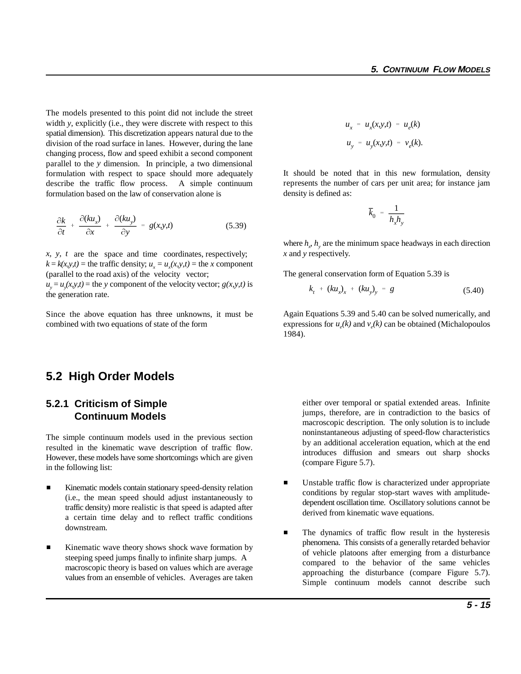The models presented to this point did not include the street width *y*, explicitly (i.e., they were discrete with respect to this spatial dimension). This discretization appears natural due to the division of the road surface in lanes. However, during the lane changing process, flow and speed exhibit a second component parallel to the *y* dimension. In principle, a two dimensional formulation with respect to space should more adequately describe the traffic flow process. A simple continuum formulation based on the law of conservation alone is

$$
\frac{\partial k}{\partial t} + \frac{\partial (ku_x)}{\partial x} + \frac{\partial (ku_y)}{\partial y} = g(x,y,t) \tag{5.39}
$$

 $x, y, t$  are the space and time coordinates, respectively;  $k = k(x, y, t)$  = the traffic density;  $u_x = u_x(x, y, t)$  = the *x* component (parallel to the road axis) of the velocity vector;  $u_y = u_y(x, y, t) =$  the *y* component of the velocity vector; *g(x,y,t)* is the generation rate.

Since the above equation has three unknowns, it must be combined with two equations of state of the form

# **5.2 High Order Models**

## **5.2.1 Criticism of Simple Continuum Models**

The simple continuum models used in the previous section resulted in the kinematic wave description of traffic flow. However, these models have some shortcomings which are given in the following list:

- $\blacksquare$  Kinematic models contain stationary speed-density relation (i.e., the mean speed should adjust instantaneously to traffic density) more realistic is that speed is adapted after a certain time delay and to reflect traffic conditions downstream.
- $\blacksquare$  Kinematic wave theory shows shock wave formation by steeping speed jumps finally to infinite sharp jumps. A macroscopic theory is based on values which are average values from an ensemble of vehicles. Averages are taken

$$
u_x = u_x(x, y, t) = u_e(k)
$$
  

$$
u_y = u_y(x, y, t) = v_e(k).
$$

It should be noted that in this new formulation, density represents the number of cars per unit area; for instance jam density is defined as:

$$
\overline{k}_0 = \frac{1}{h_x h_y}
$$

where  $h_r$ ,  $h_v$  are the minimum space headways in each direction *x* and *y* respectively.

The general conservation form of Equation 5.39 is

$$
k_t + (ku_x)_x + (ku_y)_y = g \tag{5.40}
$$

Again Equations 5.39 and 5.40 can be solved numerically, and expressions for  $u_a(k)$  and  $v_a(k)$  can be obtained (Michalopoulos 1984).

either over temporal or spatial extended areas. Infinite jumps, therefore, are in contradiction to the basics of macroscopic description. The only solution is to include noninstantaneous adjusting of speed-flow characteristics by an additional acceleration equation, which at the end introduces diffusion and smears out sharp shocks (compare Figure 5.7).

- $\blacksquare$  Unstable traffic flow is characterized under appropriate conditions by regular stop-start waves with amplitudedependent oscillation time. Oscillatory solutions cannot be derived from kinematic wave equations.
- $\blacksquare$  The dynamics of traffic flow result in the hysteresis phenomena. This consists of a generally retarded behavior of vehicle platoons after emerging from a disturbance compared to the behavior of the same vehicles approaching the disturbance (compare Figure 5.7). Simple continuum models cannot describe such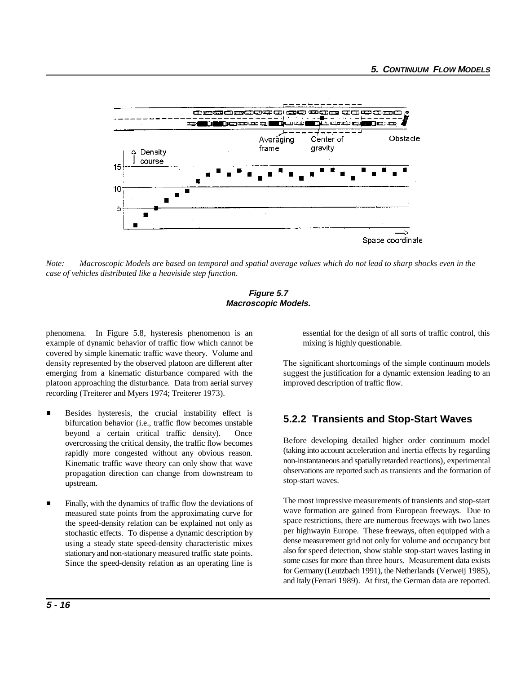

*Note: Macroscopic Models are based on temporal and spatial average values which do not lead to sharp shocks even in the case of vehicles distributed like a heaviside step function.*

#### **Figure 5.7 Macroscopic Models.**

phenomena. In Figure 5.8, hysteresis phenomenon is an essential for the design of all sorts of traffic control, this example of dynamic behavior of traffic flow which cannot be mixing is highly questionable. covered by simple kinematic traffic wave theory. Volume and density represented by the observed platoon are different after The significant shortcomings of the simple continuum models emerging from a kinematic disturbance compared with the suggest the justification for a dynamic extension leading to an platoon approaching the disturbance. Data from aerial survey improved description of traffic flow. recording (Treiterer and Myers 1974; Treiterer 1973).

- $\blacksquare$  Besides hysteresis, the crucial instability effect is bifurcation behavior (i.e., traffic flow becomes unstable beyond a certain critical traffic density). Once overcrossing the critical density, the traffic flow becomes rapidly more congested without any obvious reason. Kinematic traffic wave theory can only show that wave propagation direction can change from downstream to upstream.
- $\blacksquare$  Finally, with the dynamics of traffic flow the deviations of measured state points from the approximating curve for the speed-density relation can be explained not only as stochastic effects. To dispense a dynamic description by using a steady state speed-density characteristic mixes stationary and non-stationary measured traffic state points. Since the speed-density relation as an operating line is

## **5.2.2 Transients and Stop-Start Waves**

Before developing detailed higher order continuum model (taking into account acceleration and inertia effects by regarding non-instantaneous and spatially retarded reactions), experimental observations are reported such as transients and the formation of stop-start waves.

The most impressive measurements of transients and stop-start wave formation are gained from European freeways. Due to space restrictions, there are numerous freeways with two lanes per highwayin Europe. These freeways, often equipped with a dense measurement grid not only for volume and occupancy but also for speed detection, show stable stop-start waves lasting in some cases for more than three hours. Measurement data exists for Germany (Leutzbach 1991), the Netherlands (Verweij 1985), and Italy (Ferrari 1989). At first, the German data are reported.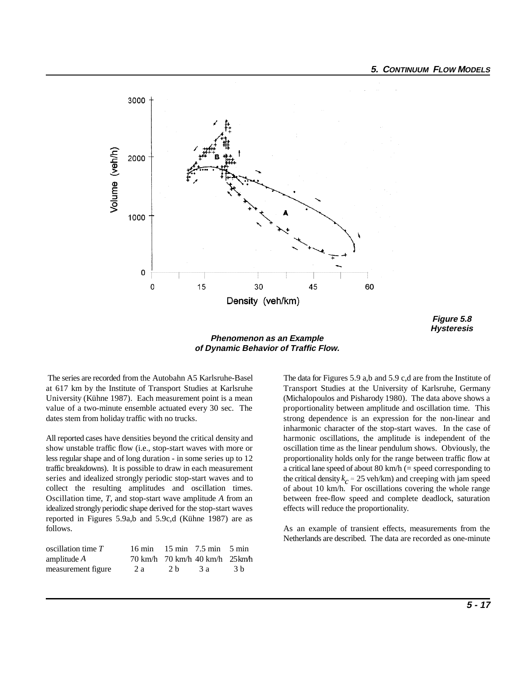

**Figure 5.8 Hysteresis**

**Phenomenon as an Example of Dynamic Behavior of Traffic Flow.** 

show unstable traffic flow (i.e., stop-start waves with more or oscillation time as the linear pendulum shows. Obviously, the less regular shape and of long duration - in some series up to 12 proportionality holds only for the range between traffic flow at traffic breakdowns). It is possible to draw in each measurement a critical lane speed of about 80 km/h (= speed corresponding to series and idealized strongly periodic stop-start waves and to collect the resulting amplitudes and oscillation times. Oscillation time, *T*, and stop-start wave amplitude *A* from an between free-flow speed and complete deadlock, saturation idealized strongly periodic shape derived for the stop-start waves effects will reduce the proportionality. reported in Figures 5.9a,b and 5.9c,d (Kühne 1987) are as follows. As an example of transient effects, measurements from the

| oscillation time $T$ |     |                | $16 \text{ min}$ $15 \text{ min}$ $7.5 \text{ min}$ $5 \text{ min}$ |     |
|----------------------|-----|----------------|---------------------------------------------------------------------|-----|
| amplitude $A$        |     |                | 70 km/h 70 km/h 40 km/h 25 km/h                                     |     |
| measurement figure   | 2 a | 2 <sub>b</sub> | -3 а                                                                | 3 h |

 The series are recorded from the Autobahn A5 Karlsruhe-Basel The data for Figures 5.9 a,b and 5.9 c,d are from the Institute of at 617 km by the Institute of Transport Studies at Karlsruhe Transport Studies at the University of Karlsruhe, Germany University (Kühne 1987). Each measurement point is a mean (Michalopoulos and Pisharody 1980). The data above shows a value of a two-minute ensemble actuated every 30 sec. The proportionality between amplitude and oscillation time. This dates stem from holiday traffic with no trucks. strong dependence is an expression for the non-linear and All reported cases have densities beyond the critical density and harmonic oscillations, the amplitude is independent of the inharmonic character of the stop-start waves. In the case of the critical density  $k_c \approx 25$  veh/km) and creeping with jam speed of about 10 km/h. For oscillations covering the whole range

Netherlands are described. The data are recorded as one-minute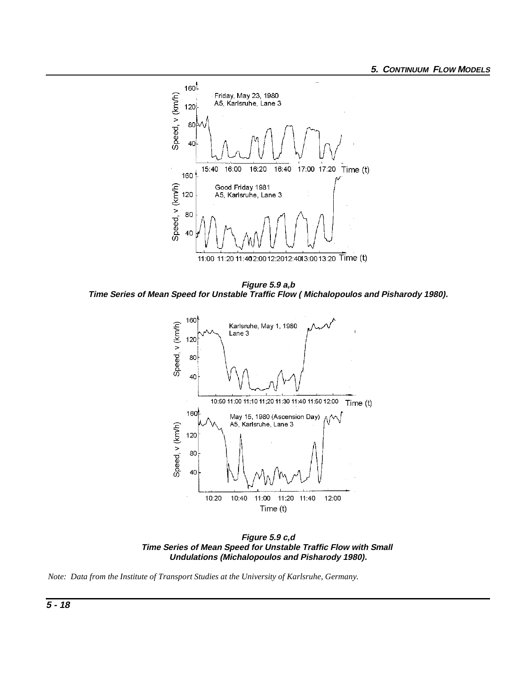

**Figure 5.9 a,b Time Series of Mean Speed for Unstable Traffic Flow ( Michalopoulos and Pisharody 1980).**



**Figure 5.9 c,d Time Series of Mean Speed for Unstable Traffic Flow with Small Undulations (Michalopoulos and Pisharody 1980).**

 *Note: Data from the Institute of Transport Studies at the University of Karlsruhe, Germany.*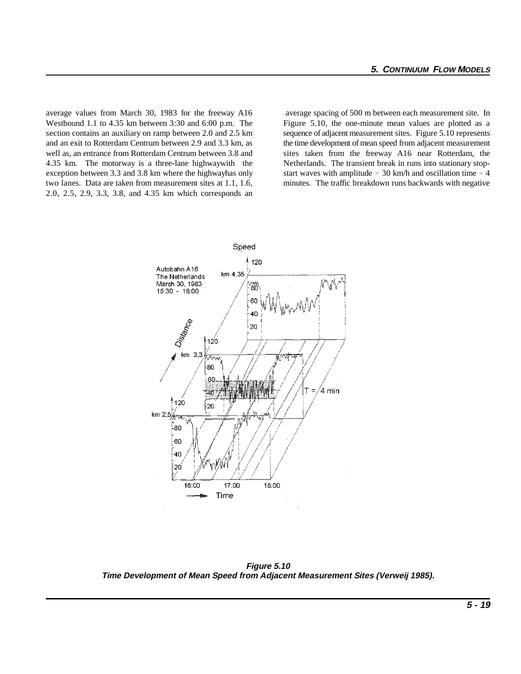average values from March 30, 1983 for the freeway A16 average spacing of 500 m between each measurement site. In Westbound 1.1 to 4.35 km between 3:30 and 6:00 p.m. The Figure 5.10, the one-minute mean values are plotted as a section contains an auxiliary on ramp between 2.0 and 2.5 km sequence of adjacent measurement sites. Figure 5.10 represents and an exit to Rotterdam Centrum between 2.9 and 3.3 km, as the time development of mean speed from adjacent measurement well as, an entrance from Rotterdam Centrum between 3.8 and sites taken from the freeway A16 near Rotterdam, the 4.35 km. The motorway is a three-lane highwaywith the Netherlands. The transient break in runs into stationary stopexception between 3.3 and 3.8 km where the highwayhas only start waves with amplitude  $\approx$  30 km/h and oscillation time  $\approx$  4 two lanes. Data are taken from measurement sites at 1.1, 1.6, minutes. The traffic breakdown runs backwards with negative 2.0, 2.5, 2.9, 3.3, 3.8, and 4.35 km which corresponds an



**Figure 5.10 Time Development of Mean Speed from Adjacent Measurement Sites (Verweij 1985).**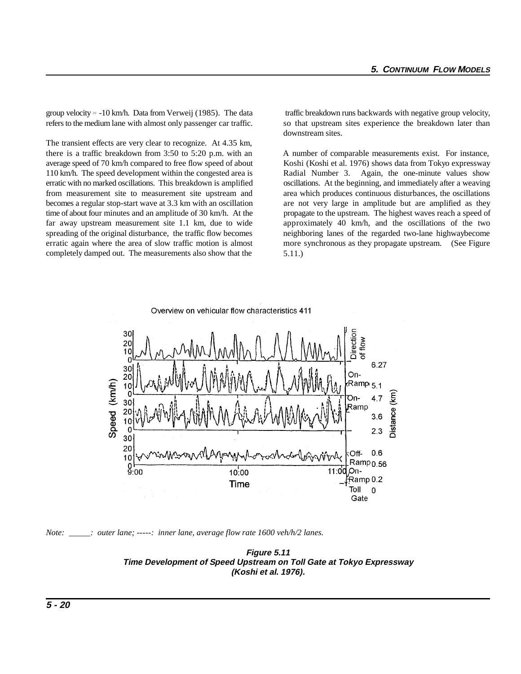group velocity  $\approx$  -10 km/h. Data from Verweij (1985). The data traffic breakdown runs backwards with negative group velocity, refers to the medium lane with almost only passenger car traffic. So that upstream sites experience the breakdown later than

The transient effects are very clear to recognize. At 4.35 km, there is a traffic breakdown from 3:50 to 5:20 p.m. with an A number of comparable measurements exist. For instance, average speed of 70 km/h compared to free flow speed of about Koshi (Koshi et al. 1976) shows data from Tokyo expressway 110 km/h. The speed development within the congested area is Radial Number 3. Again, the one-minute values show erratic with no marked oscillations. This breakdown is amplified oscillations. At the beginning, and immediately after a weaving from measurement site to measurement site upstream and area which produces continuous disturbances, the oscillations becomes a regular stop-start wave at 3.3 km with an oscillation are not very large in amplitude but are amplified as they time of about four minutes and an amplitude of 30 km/h. At the propagate to the upstream. The highest waves reach a speed of far away upstream measurement site 1.1 km, due to wide approximately 40 km/h, and the oscillations of the two spreading of the original disturbance, the traffic flow becomes neighboring lanes of the regarded two-lane highwaybecome erratic again where the area of slow traffic motion is almost completely damped out. The measurements also show that the

downstream sites.

more synchronous as they propagate upstream.(See Figure 5.11.)



*Note: \_\_\_\_\_: outer lane; -----: inner lane, average flow rate 1600 veh/h/2 lanes.*

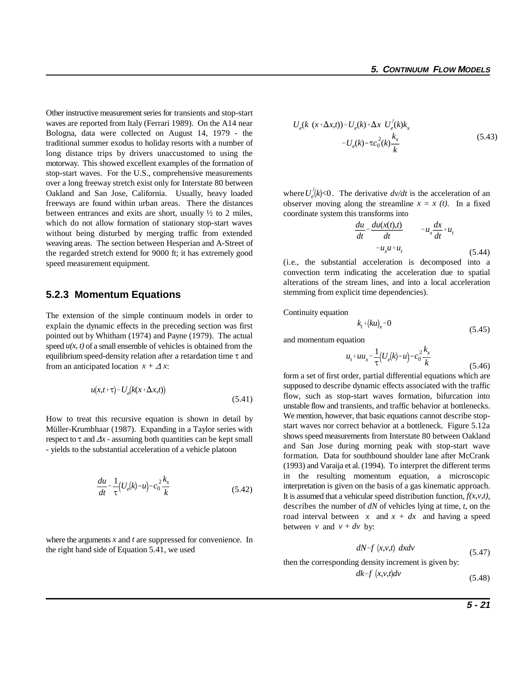Other instructive measurement series for transients and stop-start waves are reported from Italy (Ferrari 1989). On the A14 near Bologna, data were collected on August 14, 1979 - the traditional summer exodus to holiday resorts with a number of long distance trips by drivers unaccustomed to using the motorway. This showed excellent examples of the formation of stop-start waves. For the U.S., comprehensive measurements over a long freeway stretch exist only for Interstate 80 between Oakland and San Jose, California. Usually, heavy loaded freeways are found within urban areas. There the distances between entrances and exits are short, usually ½ to 2 miles, which do not allow formation of stationary stop-start waves without being disturbed by merging traffic from extended weaving areas. The section between Hesperian and A-Street of the regarded stretch extend for 9000 ft; it has extremely good speed measurement equipment.

#### **5.2.3 Momentum Equations**

The extension of the simple continuum models in order to explain the dynamic effects in the preceding section was first pointed out by Whitham (1974) and Payne (1979). The actual speed  $u(x, t)$  of a small ensemble of vehicles is obtained from the equilibrium speed-density relation after a retardation time  $\tau$  and from an anticipated location  $x + \Delta x$ :

$$
u(x,t+\tau) = U_e(k(x+\Delta x,t))
$$
\n(5.41)

How to treat this recursive equation is shown in detail by Müller-Krumbhaar (1987). Expanding in a Taylor series with respect to  $\tau$  and  $\Delta x$  - assuming both quantities can be kept small - yields to the substantial acceleration of a vehicle platoon

$$
\frac{du}{dt} = \frac{1}{\tau} \left( U_e(k) - u \right) - c_0^2 \frac{k_x}{k}
$$
\n(5.42)

where the arguments *x* and *t* are suppressed for convenience. In the right hand side of Equation 5.41, we used

$$
U_e(k (x + \Delta x, t)) = U_e(k) + \Delta x \ U'_e(k)k_x
$$
  
= 
$$
U_e(k) - \tau c_0^2(k)\frac{k_x}{k}
$$
 (5.43)

where  $U_e^{'}(k)$ <0. The derivative  $dv/dt$  is the acceleration of an observer moving along the streamline  $x = x(t)$ . In a fixed coordinate system this transforms into

$$
\frac{du}{dt} = \frac{du(x(t),t)}{dt} = u_x \frac{dx}{dt} + u_t
$$
  
=  $u_x u + u_t$  (5.44)

(i.e., the substantial acceleration is decomposed into a convection term indicating the acceleration due to spatial alterations of the stream lines, and into a local acceleration stemming from explicit time dependencies).

Continuity equation

$$
k_t + (ku)_x = 0 \tag{5.45}
$$

and momentum equation

$$
u_t + uu_x = \frac{1}{\tau} \left( U_e(k) - u \right) - c_0^2 \frac{k_x}{k}
$$
\n(5.46)

form a set of first order, partial differential equations which are supposed to describe dynamic effects associated with the traffic flow, such as stop-start waves formation, bifurcation into unstable flow and transients, and traffic behavior at bottlenecks. We mention, however, that basic equations cannot describe stopstart waves nor correct behavior at a bottleneck. Figure 5.12a shows speed measurements from Interstate 80 between Oakland and San Jose during morning peak with stop-start wave formation. Data for southbound shoulder lane after McCrank (1993) and Varaija et al. (1994). To interpret the different terms in the resulting momentum equation, a microscopic interpretation is given on the basis of a gas kinematic approach. It is assumed that a vehicular speed distribution function,  $f(x, y, t)$ , describes the number of *dN* of vehicles lying at time, *t*, on the road interval between  $x$  and  $x + dx$  and having a speed between *v* and  $v + dv$  by:

$$
dN = f(x, v, t) \, dx dv \tag{5.47}
$$

then the corresponding density increment is given by:

*dk f x*,*v*,*t dv* (5.48)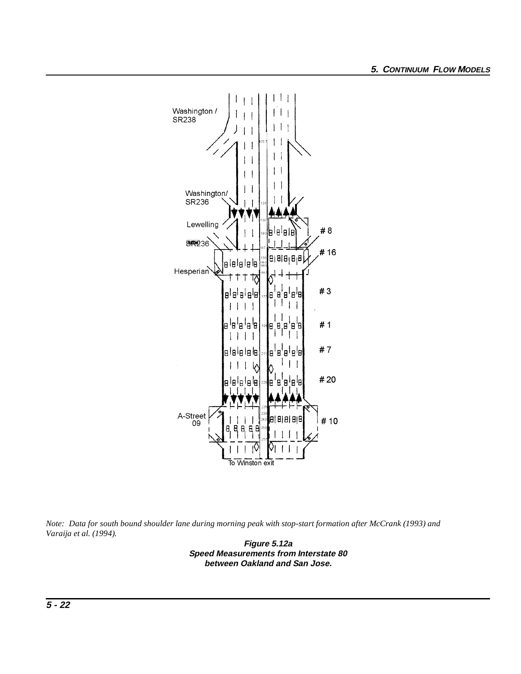

*Note: Data for south bound shoulder lane during morning peak with stop-start formation after McCrank (1993) and Varaija et al. (1994).* 

**Figure 5.12a Speed Measurements from Interstate 80 between Oakland and San Jose.**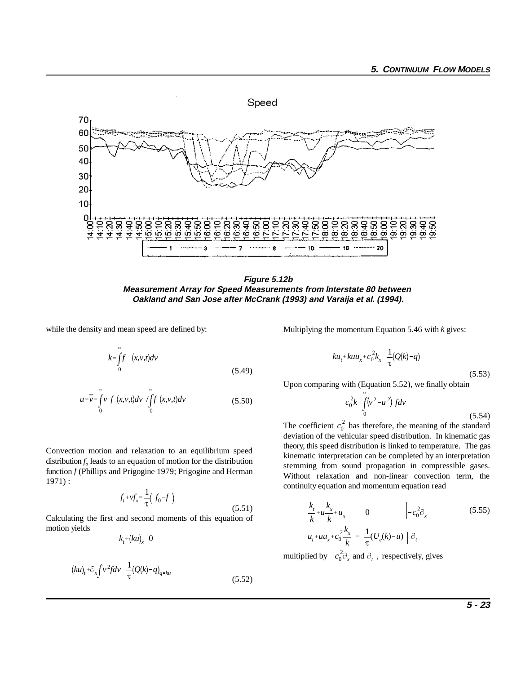

**Figure 5.12b Measurement Array for Speed Measurements from Interstate 80 between Oakland and San Jose after McCrank (1993) and Varaija et al. (1994).**

 $(5.51)$ 

while the density and mean speed are defined by:

$$
k = \int_{0}^{\infty} f(x, v, t) dv
$$
\n(5.49)

$$
u = \overline{v} = \int_{0}^{\infty} v f(x, v, t) dv / \int_{0}^{\infty} f(x, v, t) dv
$$
 (5.50)

Convection motion and relaxation to an equilibrium speed distribution  $f<sub>o</sub>$  leads to an equation of motion for the distribution function *f* (Phillips and Prigogine 1979; Prigogine and Herman 1971) :

$$
f_t + v f_x = \frac{1}{\tau} \left( f_0 - f \right)
$$

Calculating the first and second moments of this equation of motion yields

$$
k_t^{\, +}(ku)_x^{\, =0}
$$

$$
(ku)_t + \partial_x \int v^2 f dv = \frac{1}{\tau} (Q(k) - q)_{q = k u}
$$
\n(5.52)

Multiplying the momentum Equation 5.46 with *k* gives:

$$
ku_t + kuu_x + c_0^2 k_x = \frac{1}{\tau} (Q(k) - q)
$$

(5.53) Upon comparing with (Equation 5.52), we finally obtain

$$
c_0^2 k = \int_0^\infty (v^2 - u^2) f dv
$$
\n(5.54)

 $c_0^2$ The coefficient  $c_0^2$  has therefore, the meaning of the standard deviation of the vehicular speed distribution. In kinematic gas theory, this speed distribution is linked to temperature. The gas kinematic interpretation can be completed by an interpretation stemming from sound propagation in compressible gases. Without relaxation and non-linear convection term, the continuity equation and momentum equation read

$$
\frac{k_t}{k} + u\frac{k_x}{k} + u_x = 0 \qquad \qquad -c_0^2 \partial_x \qquad (5.55)
$$
\n
$$
u_t + uu_x + c_0^2 \frac{k_x}{k} = \frac{1}{\tau} (U_e(k) - u) \left[ \partial_t \right]
$$

multiplied by  $-c_0^2 \partial_x$  and  $\partial_t$ , respectively, gives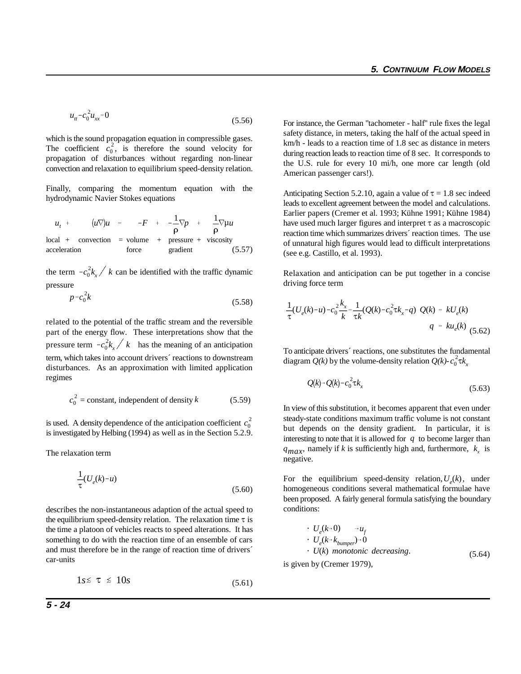$$
u_{tt} - c_0^2 u_{xx} = 0 \tag{5.56}
$$

The coefficient  $c_0^2$ , is therefore the sound velocity for which is the sound propagation equation in compressible gases. propagation of disturbances without regarding non-linear convection and relaxation to equilibrium speed-density relation.

Finally, comparing the momentum equation with the hydrodynamic Navier Stokes equations

$$
u_{t} + (u\nabla)u = -F + -\frac{1}{\rho}\nabla p + \frac{1}{\rho}\nabla \mu u
$$
  
local + convection = volume + pressure + viscosity  
acceleration force gradient (5.57)

the term  $-c_0^2 k_x / k$  can be identified with the traffic dynamic pressure

$$
p = c_0^2 k \tag{5.58}
$$

pressure term  $-c_0^2 k_x / k$  has the meaning of an anticipation related to the potential of the traffic stream and the reversible part of the energy flow. These interpretations show that the term, which takes into account drivers´ reactions to downstream disturbances. As an approximation with limited application regimes

$$
c_0^2 = \text{constant, independent of density } k \tag{5.59}
$$

is used. A density dependence of the anticipation coefficient  $c_0^2$ is investigated by Helbing (1994) as well as in the Section 5.2.9.

The relaxation term

$$
\frac{1}{\tau}(U_e(k)-u) \tag{5.60}
$$

describes the non-instantaneous adaption of the actual speed to the equilibrium speed-density relation. The relaxation time  $\tau$  is the time a platoon of vehicles reacts to speed alterations. It has something to do with the reaction time of an ensemble of cars and must therefore be in the range of reaction time of drivers´ car-units

$$
1s \leq \tau \leq 10s \tag{5.61}
$$

For instance, the German "tachometer - half" rule fixes the legal safety distance, in meters, taking the half of the actual speed in km/h - leads to a reaction time of 1.8 sec as distance in meters during reaction leads to reaction time of 8 sec. It corresponds to the U.S. rule for every 10 mi/h, one more car length (old American passenger cars!).

Anticipating Section 5.2.10, again a value of  $\tau = 1.8$  sec indeed leads to excellent agreement between the model and calculations. Earlier papers (Cremer et al. 1993; Kühne 1991; Kühne 1984) have used much larger figures and interpret  $\tau$  as a macroscopic reaction time which summarizes drivers´ reaction times. The use of unnatural high figures would lead to difficult interpretations (see e.g. Castillo, et al. 1993).

Relaxation and anticipation can be put together in a concise driving force term

$$
\frac{1}{\tau}(U_e(k) - u) - c_0^2 \frac{k_x}{k} = \frac{1}{\tau k} (Q(k) - c_0^2 \tau k_x - q) Q(k) = k U_e(k)
$$
\n
$$
q = k u_e(k) (5.62)
$$

diagram  $Q(k)$  by the volume-density relation  $Q(k)$ - $c_0^2 \tau k_x$ To anticipate drivers´ reactions, one substitutes the fundamental

$$
Q(k) - Q(k) - c_0^2 \tau k_x \tag{5.63}
$$

In view of this substitution, it becomes apparent that even under steady-state conditions maximum traffic volume is not constant but depends on the density gradient. In particular, it is interesting to note that it is allowed for *q* to become larger than  $q_{max}$ , namely if *k* is sufficiently high and, furthermore,  $k_x$  is negative.

For the equilibrium speed-density relation,  $U_e(k)$ , under homogeneous conditions several mathematical formulae have been proposed. A fairly general formula satisfying the boundary conditions:

$$
U_e(k-0) \rightarrow u_f
$$
  
\n
$$
U_e(k-k_{bumper})-0
$$
  
\n
$$
U(k) monotonic decreasing.
$$
  
\nis given by (Cremer 1979), (5.64)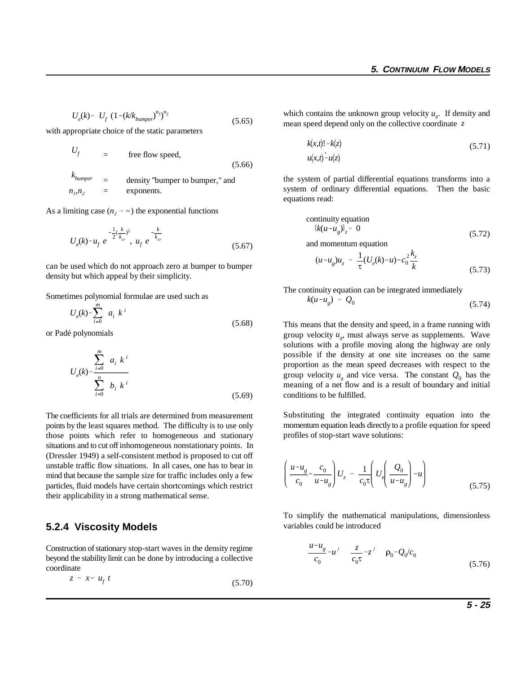$$
U_e(k) = U_f \left(1 - (k/k_{bumper})^{n_1}\right)^{n_2} \tag{5.65}
$$

with appropriate choice of the static parameters

$$
U_f = \text{free flow speed}, \tag{5.66}
$$

*kbumper* = density "bumper to bumper," and  $n_i, n_j = \text{exponents.}$ 

As a limiting case  $(n_2 \rightarrow \infty)$  the exponential functions

$$
U_e(k) = u_f \, e^{-\frac{1}{2}(\frac{k}{k_{cr}})^2}, \, u_f \, e^{-\frac{k}{k_{cr}}} \tag{5.67}
$$

can be used which do not approach zero at bumper to bumper density but which appeal by their simplicity.

Sometimes polynomial formulae are used such as

$$
U_e(k) = \sum_{i=0}^{m} a_i k^i
$$
 (5.68)

or Padé polynomials

$$
U_e(k) = \frac{\sum_{i=0}^{m} a_i k^i}{\sum_{i=0}^{n} b_i k^i}
$$
 (5.69)

The coefficients for all trials are determined from measurement points by the least squares method. The difficulty is to use only those points which refer to homogeneous and stationary situations and to cut off inhomogeneous nonstationary points. In (Dressler 1949) a self-consistent method is proposed to cut off unstable traffic flow situations. In all cases, one has to bear in mind that because the sample size for traffic includes only a few particles, fluid models have certain shortcomings which restrict their applicability in a strong mathematical sense.

#### **5.2.4 Viscosity Models**

Construction of stationary stop-start waves in the density regime beyond the stability limit can be done by introducing a collective coordinate

 $z = x - u_f t$ (5.70)

which contains the unknown group velocity  $u_g$ . If density and mean speed depend only on the collective coordinate *z* 

$$
k(x,t)! = k(z)
$$
  
 
$$
u(x,t) = u(z)
$$
 (5.71)

the system of partial differential equations transforms into a system of ordinary differential equations. Then the basic equations read:

continuity equation  

$$
\{k(u - u_g)\}_z = 0
$$
 (5.72)

and momentum equation

$$
(u-u_g)u_z = \frac{1}{\tau}(U_e(k)-u) - c_0^2 \frac{k_z}{k}
$$
\n(5.73)

The continuity equation can be integrated immediately

$$
k(u-u_g) = Q_0 \tag{5.74}
$$

group velocity  $u_g$  and vice versa. The constant  $Q_0$  has the This means that the density and speed, in a frame running with group velocity  $u_{\sigma}$ , must always serve as supplements. Wave solutions with a profile moving along the highway are only possible if the density at one site increases on the same proportion as the mean speed decreases with respect to the meaning of a net flow and is a result of boundary and initial conditions to be fulfilled.

Substituting the integrated continuity equation into the momentum equation leads directly to a profile equation for speed profiles of stop-start wave solutions:

$$
\left(\frac{u-u_g}{c_0} - \frac{c_0}{u-u_g}\right)U_z = \frac{1}{c_0 \tau} \left(U_e \left(\frac{Q_0}{u-u_g}\right) - u\right)
$$
\n(5.75)

To simplify the mathematical manipulations, dimensionless variables could be introduced

$$
\frac{u - u_g}{c_0} = u' \frac{z}{c_0 \tau} = z' \rho_0 = Q_0/c_0
$$
\n(5.76)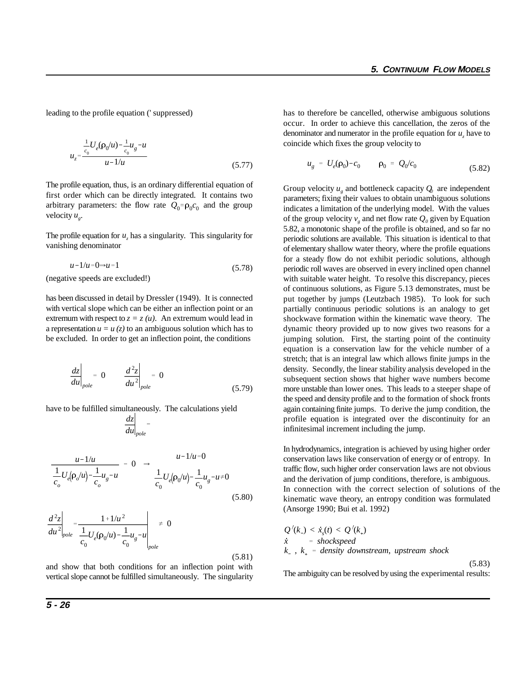$$
u_{z} = \frac{\frac{1}{c_0}U_e(\rho_0/u) - \frac{1}{c_0}u_g - u}{u - 1/u}
$$
\n(5.77)

arbitrary parameters: the flow rate  $Q_0 = \rho_0 c_0$  and the group The profile equation, thus, is an ordinary differential equation of first order which can be directly integrated. It contains two velocity  $u_{\varphi}$ .

The profile equation for  $u_{\mu}$  has a singularity. This singularity for vanishing denominator

$$
u-1/u=0\Rightarrow u=1\tag{5.78}
$$

(negative speeds are excluded!)

has been discussed in detail by Dressler (1949). It is connected with vertical slope which can be either an inflection point or an extremum with respect to  $z = z(u)$ . An extremum would lead in a representation  $u = u(z)$  to an ambiguous solution which has to be excluded. In order to get an inflection point, the conditions

$$
\left. \frac{dz}{du} \right|_{pole} = 0 \qquad \left. \frac{d^2z}{du^2} \right|_{pole} = 0 \tag{5.79}
$$

have to be fulfilled simultaneously. The calculations yield

$$
\left.\frac{dz}{du}\right|_{pole}=
$$

$$
\frac{u-1/u}{\frac{1}{c_o}U_e(\rho_o/u)-\frac{1}{c_o}u_g-u} = 0 \Rightarrow \frac{u-1/u=0}{\frac{1}{c_o}U_e(\rho_o/u)-\frac{1}{c_o}u_g-u\neq 0}
$$
\n(5.80)

$$
\frac{d^2z}{du^2}\bigg|_{pole} = \frac{1 + 1/u^2}{\frac{1}{c_0}U_e(\rho_0/u) - \frac{1}{c_0}u_g - u}\bigg|_{pole} \neq 0
$$
\n(5.81)

and show that both conditions for an inflection point with vertical slope cannot be fulfilled simultaneously. The singularity

leading to the profile equation (' suppressed) has to therefore be cancelled, otherwise ambiguous solutions occur. In order to achieve this cancellation, the zeros of the denominator and numerator in the profile equation for  $u<sub>r</sub>$  have to coincide which fixes the group velocity to

$$
u_g = U_e(\rho_0) - c_0 \qquad \rho_0 = Q_0/c_0 \tag{5.82}
$$

Group velocity  $u_{\alpha}$  and bottleneck capacity  $Q_{0}$  are independent parameters; fixing their values to obtain unambiguous solutions indicates a limitation of the underlying model. With the values of the group velocity  $v_{\varrho}$  and net flow rate  $Q_0$  given by Equation 5.82, a monotonic shape of the profile is obtained, and so far no periodic solutions are available. This situation is identical to that of elementary shallow water theory, where the profile equations for a steady flow do not exhibit periodic solutions, although periodic roll waves are observed in every inclined open channel with suitable water height. To resolve this discrepancy, pieces of continuous solutions, as Figure 5.13 demonstrates, must be put together by jumps (Leutzbach 1985). To look for such partially continuous periodic solutions is an analogy to get shockwave formation within the kinematic wave theory. The dynamic theory provided up to now gives two reasons for a jumping solution. First, the starting point of the continuity equation is a conservation law for the vehicle number of a stretch; that is an integral law which allows finite jumps in the density. Secondly, the linear stability analysis developed in the subsequent section shows that higher wave numbers become more unstable than lower ones. This leads to a steeper shape of the speed and density profile and to the formation of shock fronts again containing finite jumps. To derive the jump condition, the profile equation is integrated over the discontinuity for an infinitesimal increment including the jump.

(*k*) connective<br> *k* and *k* and *k* and *k* and *k* and *k* and *k* and *k* and *k* and *k* and *k* and *k* and *k* and *k* and *k* and *k* and *k* and *k* and *k* and *k* and *k* and *k* and *k* and *k* and *k* and *k* In connection with the correct selection of solutions of the In hydrodynamics, integration is achieved by using higher order conservation laws like conservation of energy or of entropy. In traffic flow, such higher order conservation laws are not obvious and the derivation of jump conditions, therefore, is ambiguous. kinematic wave theory, an entropy condition was formulated (Ansorge 1990; Bui et al. 1992)

kinematic wave theory, an entropy condition was formu  
\n(Answer 1990; Bui et al. 1992)  
\n
$$
Q'(k) < xs(t) < Q'(ks)
$$
\n
$$
\dot{x} = \text{shockspeed}
$$
\n
$$
k_{-}, k_{+} = \text{density downstream, upstream shock}
$$

(5.83)

The ambiguity can be resolved by using the experimental results: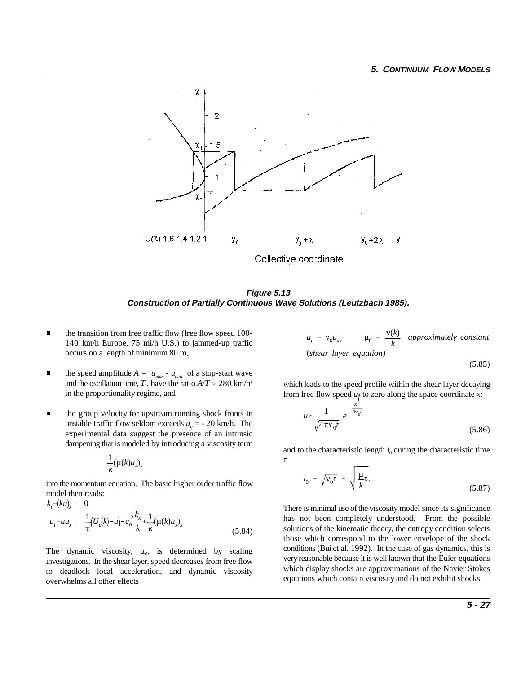

**Figure 5.13 Construction of Partially Continuous Wave Solutions (Leutzbach 1985).**

- $\blacksquare$  the transition from free traffic flow (free flow speed 100- 140 km/h Europe, 75 mi/h U.S.) to jammed-up traffic occurs on a length of minimum 80 m,
- $\blacksquare$ the speed amplitude  $A = u_{max} - u_{min}$  of a stop-start wave and the oscillation time, *T*, have the ratio  $A/T \approx 280$  km/h<sup>2</sup> in the proportionality regime, and
- $\blacksquare$  the group velocity for upstream running shock fronts in unstable traffic flow seldom exceeds  $u<sub>o</sub> = -20$  km/h. The experimental data suggest the presence of an intrinsic dampening that is modeled by introducing a viscosity term

$$
\frac{1}{k}(\mu(k)u_x)_x
$$

into the momentum equation. The basic higher order traffic flow model then reads:

$$
k_t + (ku)_x = 0
$$
  

$$
u_t + uu_x = \frac{1}{\tau} (U_e(k) - u) - c_o^2 \frac{k_x}{k} + \frac{1}{k} (\mu(k)u_x)_x
$$
  
(5.84)

The dynamic viscosity,  $\mu_0$ , is determined by scaling investigations. In the shear layer, speed decreases from free flow to deadlock local acceleration, and dynamic viscosity overwhelms all other effects

$$
u_t = v_0 u_{xx} \qquad \mu_0 = \frac{v(k)}{k} \quad \text{approximately constant}
$$
\n(shear layer equation)

(5.85)

which leads to the speed profile within the shear layer decaying from free flow speed  $u_f$  to zero along the space coordinate *x*:

$$
u \approx \frac{1}{\sqrt{4\pi v_0 t}} e^{-\frac{x^2}{4v_0 t}}
$$
\n(5.86)

and to the characteristic length  $l_0$  during the characteristic time  $\tau$ 

$$
l_0 = \sqrt{v_0 \tau} = \sqrt{\frac{\mu}{k} \tau}.
$$
\n(5.87)

There is minimal use of the viscosity model since its significance has not been completely understood. From the possible solutions of the kinematic theory, the entropy condition selects those which correspond to the lower envelope of the shock conditions (Bui et al. 1992). In the case of gas dynamics, this is very reasonable because it is well known that the Euler equations which display shocks are approximations of the Navier Stokes equations which contain viscosity and do not exhibit shocks.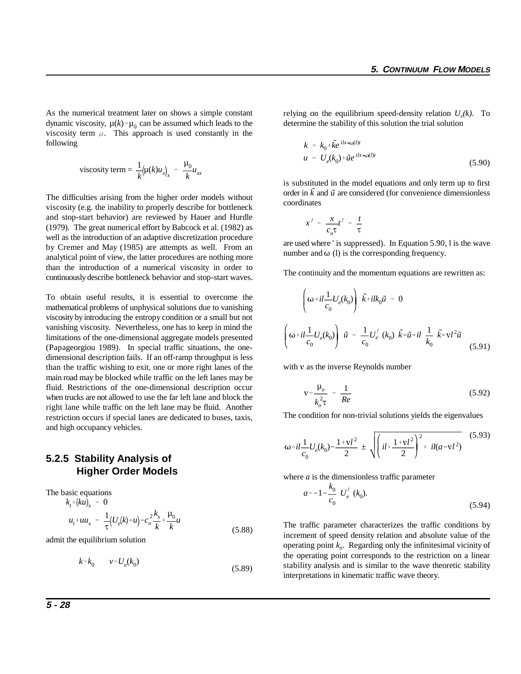dynamic viscosity,  $\mu(k) = \mu_0$  can be assumed which leads to the As the numerical treatment later on shows a simple constant viscosity term  $\mu$ . This approach is used constantly in the following

viscosity term = 
$$
\frac{1}{k} (\mu(k) u_{x})_{x} = \frac{\mu_0}{k} u_{xx}
$$

The difficulties arising from the higher order models without viscosity (e.g. the inability to properly describe for bottleneck and stop-start behavior) are reviewed by Hauer and Hurdle (1979). The great numerical effort by Babcock et al. (1982) as well as the introduction of an adaptive discretization procedure by Cremer and May (1985) are attempts as well. From an analytical point of view, the latter procedures are nothing more than the introduction of a numerical viscosity in order to continuously describe bottleneck behavior and stop-start waves.

To obtain useful results, it is essential to overcome the mathematical problems of unphysical solutions due to vanishing viscosity by introducing the entropy condition or a small but not vanishing viscosity. Nevertheless, one has to keep in mind the limitations of the one-dimensional aggregate models presented (Papageorgiou 1989). In special traffic situations, the onedimensional description fails. If an off-ramp throughput is less than the traffic wishing to exit, one or more right lanes of the main road may be blocked while traffic on the left lanes may be fluid. Restrictions of the one-dimensional description occur when trucks are not allowed to use the far left lane and block the right lane while traffic on the left lane may be fluid. Another restriction occurs if special lanes are dedicated to buses, taxis, and high occupancy vehicles.

## **5.2.5 Stability Analysis of Higher Order Models**

 $k_t$  +  $(ku)_x = 0$  $u_t$ <sup>+</sup>*uu<sub>x</sub>* =  $\frac{1}{\tau}$  $\frac{1}{\tau} (U_e(k) - u) - c_o^2 \frac{k_x}{k}$ *k*  $+\frac{\mu_0}{\sigma}$  $\frac{d}{dx}u$ The basic equations (5.88)

admit the equilibrium solution

$$
k = k_0 \qquad v = U_e(k_0) \tag{5.89}
$$

relying on the equilibrium speed-density relation  $U_a(k)$ . To determine the stability of this solution the trial solution

$$
k = k_0 + \tilde{k}e^{ikx + \omega(l)t}
$$
  

$$
u = U_e(k_0) + \tilde{u}e^{ikx + \omega(l)t}
$$
 (5.90)

order in  $\tilde{k}$  and  $\tilde{u}$  are considered (for convenience dimensionless is substituted in the model equations and only term up to first coordinates

$$
x' = \frac{x}{c_o \tau} t' = \frac{t}{\tau}
$$

are used where ' is suppressed). In Equation 5.90, l is the wave number and  $\omega$  (l) is the corresponding frequency.

The continuity and the momentum equations are rewritten as:

$$
\left(\omega + il\frac{1}{c_0}U_e(k_0)\right)\tilde{k} + ilk_0\tilde{u} = 0
$$
\n
$$
\left(\omega + il\frac{1}{c_0}U_e(k_0)\right)\tilde{u} = \frac{1}{c_0}U'_e(k_0)\tilde{k} - \tilde{u} - il\frac{1}{k_0}\tilde{k} - vl^2\tilde{u}
$$
\n(5.91)

with  $\nu$  as the inverse Reynolds number

$$
v = \frac{\mu_o}{k_o^2 \tau} = \frac{1}{Re}
$$
 (5.92)

The condition for non-trivial solutions yields the eigenvalues

$$
\omega = il\frac{1}{c_0}U_e(k_0) - \frac{1 + v l^2}{2} \pm \sqrt{\left( il + \frac{1 + v l^2}{2} \right)^2 + il(a - v l^2)} \tag{5.93}
$$

where *a* is the dimensionless traffic parameter

$$
a = -1 - \frac{k_0}{c_0} U'_e \ (k_0).
$$
 (5.94)

The traffic parameter characterizes the traffic conditions by increment of speed density relation and absolute value of the operating point  $k<sub>o</sub>$ . Regarding only the infinitesimal vicinity of the operating point corresponds to the restriction on a linear stability analysis and is similar to the wave theoretic stability interpretations in kinematic traffic wave theory.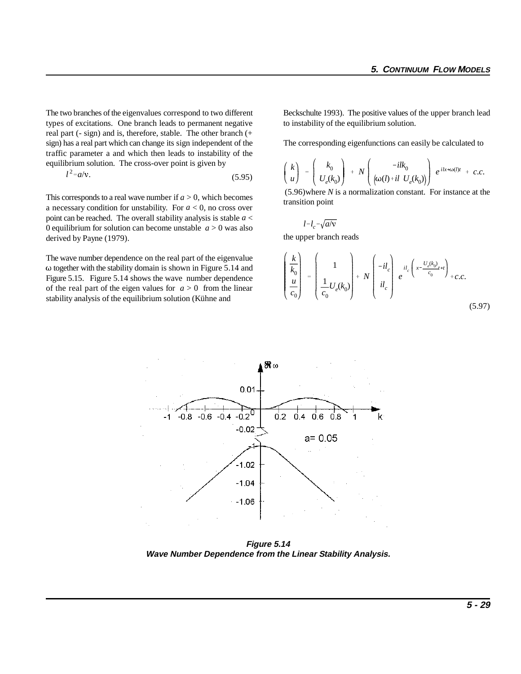equilibrium solution. The cross-over point is given by<br>  $l^2 = a/v$ . (5.95) The two branches of the eigenvalues correspond to two different Beckschulte 1993). The positive values of the upper branch lead types of excitations. One branch leads to permanent negative to instability of the equilibrium solution. real part (- sign) and is, therefore, stable. The other branch (+ sign) has a real part which can change its sign independent of the The corresponding eigenfunctions can easily be calculated to traffic parameter a and which then leads to instability of the

$$
l^2 = a/v.
$$
 (5.95)

This corresponds to a real wave number if  $a > 0$ , which becomes a necessary condition for unstability. For *a* < 0, no cross over point can be reached. The overall stability analysis is stable *a* < 0 equilibrium for solution can become unstable  $a > 0$  was also derived by Payne (1979).

The wave number dependence on the real part of the eigenvalue  $\omega$  together with the stability domain is shown in Figure 5.14 and Figure 5.15. Figure 5.14 shows the wave number dependence of the real part of the eigen values for  $a > 0$  from the linear stability analysis of the equilibrium solution (Kühne and

$$
\left(\begin{array}{c}k\\u\end{array}\right)\;=\;\left(\begin{array}{c}k_0\\U_e(k_0)\end{array}\right)\;+\;N\left(\begin{array}{cc}-ilk_0\\ \big(\omega(I)+il\;\;U_e(k_0)\big)\end{array}\right)\;e^{\;ilx+\omega(I)t}\;+\;c.c.
$$

(5.96)where *N* is a normalization constant. For instance at the transition point

$$
l = l_c = \sqrt{a/v}
$$

the upper branch reads

÷.

$$
\begin{pmatrix}\n\frac{k}{k_0} \\
\frac{u}{c_0}\n\end{pmatrix} =\n\begin{pmatrix}\n1 \\
\frac{1}{c_0}U_e(k_0)\n\end{pmatrix} + N\n\begin{pmatrix}\n-i l_c \\
i l_c\n\end{pmatrix} e^{i l_c \left(x - \frac{U_e(k_0)}{c_0}t + t\right)} + c.c.
$$
\n(5.97)



**Figure 5.14 Wave Number Dependence from the Linear Stability Analysis.**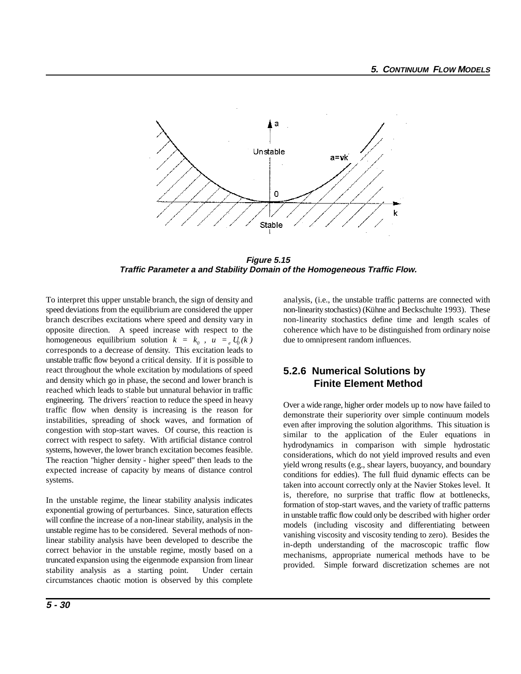

**Figure 5.15 Traffic Parameter a and Stability Domain of the Homogeneous Traffic Flow.**

To interpret this upper unstable branch, the sign of density and analysis, (i.e., the unstable traffic patterns are connected with speed deviations from the equilibrium are considered the upper non-linearity stochastics) (Kühne and Beckschulte 1993). These branch describes excitations where speed and density vary in non-linearity stochastics define time and length scales of opposite direction. A speed increase with respect to the coherence which have to be distinguished from ordinary noise homogeneous equilibrium solution  $k = k_0$ ,  $u = e U_0(k)$ corresponds to a decrease of density. This excitation leads to unstable traffic flow beyond a critical density. If it is possible to react throughout the whole excitation by modulations of speed and density which go in phase, the second and lower branch is reached which leads to stable but unnatural behavior in traffic engineering. The drivers´ reaction to reduce the speed in heavy traffic flow when density is increasing is the reason for instabilities, spreading of shock waves, and formation of congestion with stop-start waves. Of course, this reaction is correct with respect to safety. With artificial distance control systems, however, the lower branch excitation becomes feasible. The reaction "higher density - higher speed" then leads to the expected increase of capacity by means of distance control systems.

In the unstable regime, the linear stability analysis indicates exponential growing of perturbances. Since, saturation effects will confine the increase of a non-linear stability, analysis in the unstable regime has to be considered. Several methods of nonlinear stability analysis have been developed to describe the correct behavior in the unstable regime, mostly based on a truncated expansion using the eigenmode expansion from linear stability analysis as a starting point. Under certain circumstances chaotic motion is observed by this complete

due to omnipresent random influences.

### **5.2.6 Numerical Solutions by Finite Element Method**

Over a wide range, higher order models up to now have failed to demonstrate their superiority over simple continuum models even after improving the solution algorithms. This situation is similar to the application of the Euler equations in hydrodynamics in comparison with simple hydrostatic considerations, which do not yield improved results and even yield wrong results (e.g., shear layers, buoyancy, and boundary conditions for eddies). The full fluid dynamic effects can be taken into account correctly only at the Navier Stokes level. It is, therefore, no surprise that traffic flow at bottlenecks, formation of stop-start waves, and the variety of traffic patterns in unstable traffic flow could only be described with higher order models (including viscosity and differentiating between vanishing viscosity and viscosity tending to zero). Besides the in-depth understanding of the macroscopic traffic flow mechanisms, appropriate numerical methods have to be provided. Simple forward discretization schemes are not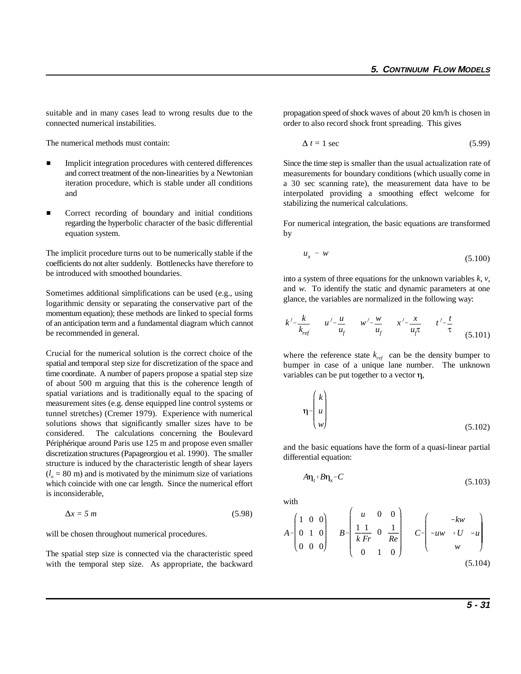suitable and in many cases lead to wrong results due to the propagation speed of shock waves of about 20 km/h is chosen in connected numerical instabilities.  $\qquad \qquad$  order to also record shock front spreading. This gives

The numerical methods must contain:

- $\blacksquare$  Implicit integration procedures with centered differences and correct treatment of the non-linearities by a Newtonian iteration procedure, which is stable under all conditions and
- $\blacksquare$  Correct recording of boundary and initial conditions regarding the hyperbolic character of the basic differential equation system.

The implicit procedure turns out to be numerically stable if the coefficients do not alter suddenly. Bottlenecks have therefore to be introduced with smoothed boundaries.

Sometimes additional simplifications can be used (e.g., using logarithmic density or separating the conservative part of the momentum equation); these methods are linked to special forms of an anticipation term and a fundamental diagram which cannot be recommended in general.

Crucial for the numerical solution is the correct choice of the spatial and temporal step size for discretization of the space and time coordinate. A number of papers propose a spatial step size of about 500 m arguing that this is the coherence length of spatial variations and is traditionally equal to the spacing of measurement sites (e.g. dense equipped line control systems or tunnel stretches) (Cremer 1979). Experience with numerical solutions shows that significantly smaller sizes have to be considered. The calculations concerning the Boulevard Périphérique around Paris use 125 m and propose even smaller discretization structures (Papageorgiou et al. 1990). The smaller structure is induced by the characteristic length of shear layers  $(l<sub>o</sub> = 80 \text{ m})$  and is motivated by the minimum size of variations which coincide with one car length. Since the numerical effort is inconsiderable,

$$
\Delta x = 5 \, m \tag{5.98}
$$

will be chosen throughout numerical procedures.

The spatial step size is connected via the characteristic speed with the temporal step size. As appropriate, the backward

$$
\Delta t = 1 \text{ sec} \tag{5.99}
$$

Since the time step is smaller than the usual actualization rate of measurements for boundary conditions (which usually come in a 30 sec scanning rate), the measurement data have to be interpolated providing a smoothing effect welcome for stabilizing the numerical calculations.

For numerical integration, the basic equations are transformed by

$$
u_x = w \tag{5.100}
$$

into a system of three equations for the unknown variables *k*, *v*, and *w*. To identify the static and dynamic parameters at one glance, the variables are normalized in the following way:

$$
k' = \frac{k}{k_{ref}}
$$
  $u' = \frac{u}{u_f}$   $w' = \frac{w}{u_f}$   $x' = \frac{x}{u_f \tau}$   $t' = \frac{t}{\tau}$  (5.101)

where the reference state  $k_{ref}$  can be the density bumper to bumper in case of a unique lane number. The unknown variables can be put together to a vector  $\eta$ ,

$$
\eta = \begin{pmatrix} k \\ u \\ w \end{pmatrix}
$$
 (5.102)

and the basic equations have the form of a quasi-linear partial differential equation:

$$
A\eta_t + B\eta_x = C \tag{5.103}
$$

with

 $\mathbb{R}^{\mathbb{Z}}$ 

$$
A = \begin{pmatrix} 1 & 0 & 0 \\ 0 & 1 & 0 \\ 0 & 0 & 0 \end{pmatrix} \qquad B = \begin{pmatrix} u & 0 & 0 \\ \frac{1}{k} & \frac{1}{k} & 0 \\ 0 & 1 & 0 \end{pmatrix} \qquad C = \begin{pmatrix} -kw \\ -uw + U & -u \\ w \end{pmatrix}
$$
(5.104)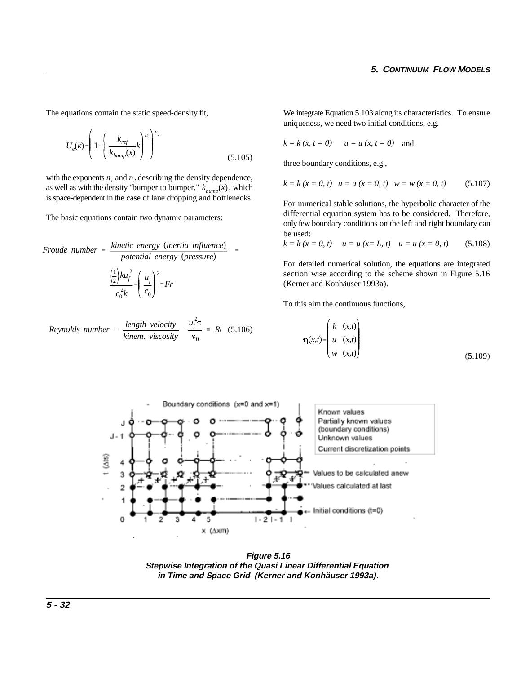$$
U_e(k) = \left(1 - \left(\frac{k_{ref}}{k_{bump}(x)}k\right)^{n_1}\right)^{n_2}
$$
\n(5.105)

as well as with the density "bumper to bumper,"  $k_{bump}(x)$ , which with the exponents  $n_1$  and  $n_2$  describing the density dependence, is space-dependent in the case of lane dropping and bottlenecks.

The basic equations contain two dynamic parameters:

Froude number = 
$$
\frac{\text{kinetic energy (inertia influence)}}{\text{potential energy (pressure)}}
$$

\n $\frac{\left(\frac{1}{2}\right)ku_f^2}{\left(\frac{1}{2}\right)ku_f^2} = \left(\frac{u_f}{c_0}\right)^2 = Fr$ 

*Reynolds number* = 
$$
\frac{length \ velocity}{kinem. \ viscosity} = \frac{u_f^2 \tau}{v_0} = R
$$
 (5.106)

The equations contain the static speed-density fit, We integrate Equation 5.103 along its characteristics. To ensure uniqueness, we need two initial conditions, e.g.

$$
k = k (x, t = 0)
$$
  $u = u (x, t = 0)$  and

three boundary conditions, e.g.,

$$
k = k (x = 0, t)
$$
  $u = u (x = 0, t)$   $w = w (x = 0, t)$  (5.107)

For numerical stable solutions, the hyperbolic character of the differential equation system has to be considered. Therefore, only few boundary conditions on the left and right boundary can be used:

$$
k = k (x = 0, t)
$$
  $u = u (x = L, t)$   $u = u (x = 0, t)$  (5.108)

For detailed numerical solution, the equations are integrated section wise according to the scheme shown in Figure 5.16 (Kerner and Konhäuser 1993a).

To this aim the continuous functions,

$$
\eta(x,t) = \begin{pmatrix} k & (x,t) \\ u & (x,t) \\ w & (x,t) \end{pmatrix}
$$
\n(5.109)



**Figure 5.16 Stepwise Integration of the Quasi Linear Differential Equation in Time and Space Grid (Kerner and Konhäuser 1993a).**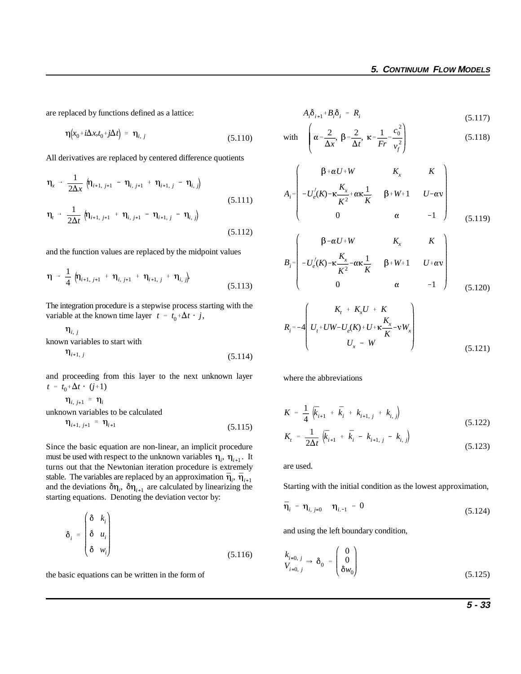are replaced by functions defined as a lattice:

$$
\eta(x_0 + i\Delta x, t_0 + j\Delta t) = \eta_{i, j} \tag{5.110}
$$

All derivatives are replaced by centered difference quotients

$$
\eta_{x} \rightarrow \frac{1}{2\Delta x} \left( \eta_{i+1, j+1} - \eta_{i, j+1} + \eta_{i+1, j} - \eta_{i, j} \right)
$$
\n
$$
\eta_{t} \rightarrow \frac{1}{2\Delta t} \left( \eta_{i+1, j+1} + \eta_{i, j+1} - \eta_{i+1, j} - \eta_{i, j} \right)
$$
\n(5.111)

and the function values are replaced by the midpoint values

$$
\eta \rightarrow \frac{1}{4} \left( \eta_{i+1, j+1} + \eta_{i, j+1} + \eta_{i+1, j} + \eta_{i, j} \right)
$$
\n(5.113)

**the integration procedure is a step wise process solution**<br>variable at the known time layer  $t = t_0 + \Delta t \cdot j$ , The integration procedure is a stepwise process starting with the

$$
\eta_{i, j}
$$
  
known variables to start with  

$$
\eta_{i, j}
$$

$$
\mathbf{u}_{i+1,j} \tag{5.114}
$$

 $t = t_0 + \Delta t \cdot (j+1)$ and proceeding from this layer to the next unknown layer

$$
\eta_{i, j+1} = \eta_i
$$
  
unknown variables to be calculated  

$$
\eta_{i+1, j+1} = \eta_{i+1}
$$
 (5)

$$
q_{i+1, j+1} = q_{i+1} \tag{5.115}
$$

must be used with respect to the unknown variables  $\eta_i$ ,  $\eta_{i+1}$ . It stable. The variables are replaced by an approximation  $\bar{\eta}_i$ ,  $\bar{\eta}_{i+1}$ and the deviations  $\delta \eta_i$ ,  $\delta \eta_{i+1}$  are calculated by linearizing the Since the basic equation are non-linear, an implicit procedure turns out that the Newtonian iteration procedure is extremely starting equations. Denoting the deviation vector by:

$$
\delta_i = \begin{pmatrix} \delta & k_i \\ \delta & u_i \\ \delta & w_i \end{pmatrix}
$$
 (5.116)

the basic equations can be written in the form of

$$
A_i \delta_{i+1} + B_i \delta_i = R_i \tag{5.117}
$$

with 
$$
\left(\alpha = \frac{2}{\Delta x}, \ \beta = \frac{2}{\Delta t}, \ \kappa = \frac{1}{Fr} = \frac{c_0^2}{v_f^2}\right)
$$
 (5.118)

$$
A_{i} = \begin{pmatrix} \beta + \alpha U + W & K_{x} & K \\ -U_{e}^{'}(K) - \kappa \frac{K_{x}}{K^{2}} + \alpha \kappa \frac{1}{K} & \beta + W + 1 & U - \alpha v \\ 0 & \alpha & -1 \end{pmatrix}
$$
(5.119)

$$
B_{i} = \begin{pmatrix} \beta - \alpha U + W & K_{x} & K \\ -U_{e}^{\prime}(K) - \kappa \frac{K_{x}}{K^{2}} - \alpha \kappa \frac{1}{K} & \beta + W + 1 & U + \alpha v \\ 0 & \alpha & -1 \end{pmatrix}
$$
(5.120)

$$
R_{i} = -4\left(U_{t} + UW - U_{e}(K) + U + \kappa \frac{K_{x}}{K} - vW_{x}\right)
$$
  

$$
U_{x} - W
$$
 (5.121)

where the abbreviations

$$
K = \frac{1}{4} \left( \bar{k}_{i+1} + \bar{k}_{i} + k_{i+1,j} + k_{i,j} \right)
$$
 (5.122)

$$
K_{t} = \frac{1}{2\Delta t} \left( \bar{k}_{i+1} + \bar{k}_{i} - k_{i+1, j} - k_{i, j} \right)
$$
\n(5.123)

are used.

Starting with the initial condition as the lowest approximation,

$$
\bar{\eta}_i = \eta_{i, j=0} \quad \eta_{i, -1} = 0 \tag{5.124}
$$

and using the left boundary condition,

$$
k_{i=0, j} \Rightarrow \delta_0 = \begin{pmatrix} 0 \\ 0 \\ \delta w_0 \end{pmatrix}
$$
 (5.125)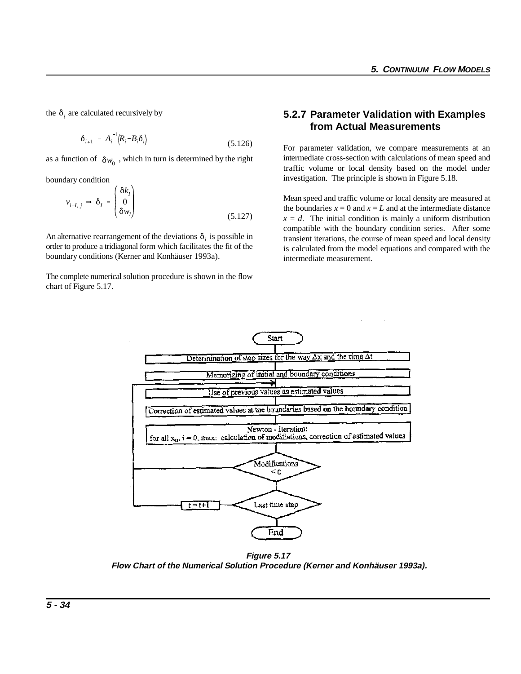the  $\delta_i$  are calculated recursively by

$$
\delta_{i+1} = A_i^{-1} (R_i - B_i \delta_i) \tag{5.126}
$$

as a function of  $\delta w_0$ , which in turn is determined by the right

boundary condition

$$
v_{i=I, j} \rightarrow \delta_I = \begin{pmatrix} \delta k_I \\ 0 \\ \delta w_I \end{pmatrix}
$$
 (5.127)

An alternative rearrangement of the deviations  $\delta_i$  is possible in order to produce a tridiagonal form which facilitates the fit of the boundary conditions (Kerner and Konhäuser 1993a).

The complete numerical solution procedure is shown in the flow chart of Figure 5.17.

#### **5.2.7 Parameter Validation with Examples from Actual Measurements**

For parameter validation, we compare measurements at an intermediate cross-section with calculations of mean speed and traffic volume or local density based on the model under investigation. The principle is shown in Figure 5.18.

Mean speed and traffic volume or local density are measured at the boundaries  $x = 0$  and  $x = L$  and at the intermediate distance  $x = d$ . The initial condition is mainly a uniform distribution compatible with the boundary condition series. After some transient iterations, the course of mean speed and local density is calculated from the model equations and compared with the intermediate measurement.



**Figure 5.17 Flow Chart of the Numerical Solution Procedure (Kerner and Konhäuser 1993a).**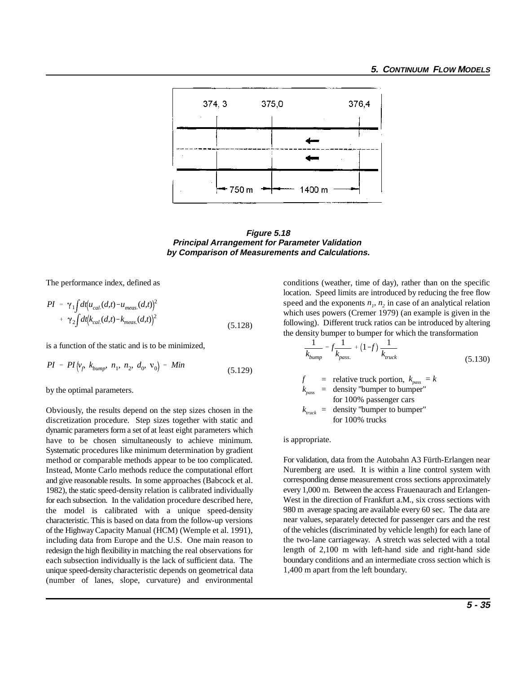

**Figure 5.18 Principal Arrangement for Parameter Validation by Comparison of Measurements and Calculations.**

$$
PI = \gamma_1 \int dt \left(u_{cal}(d,t) - u_{meas}(d,t)\right)^2
$$
  
+ 
$$
\gamma_2 \int dt \left(k_{cal}(d,t) - k_{meas}(d,t)\right)^2
$$
 (5.128)

is a function of the static and is to be minimized,

$$
PI = PI(v_f, k_{bump}, n_1, n_2, d_0, v_0) = Min
$$
\n(5.129)

by the optimal parameters.

Obviously, the results depend on the step sizes chosen in the discretization procedure. Step sizes together with static and dynamic parameters form a set of at least eight parameters which have to be chosen simultaneously to achieve minimum. Systematic procedures like minimum determination by gradient method or comparable methods appear to be too complicated. Instead, Monte Carlo methods reduce the computational effort and give reasonable results. In some approaches (Babcock et al. 1982), the static speed-density relation is calibrated individually for each subsection. In the validation procedure described here, the model is calibrated with a unique speed-density characteristic. This is based on data from the follow-up versions of the Highway Capacity Manual (HCM) (Wemple et al. 1991), including data from Europe and the U.S. One main reason to redesign the high flexibility in matching the real observations for each subsection individually is the lack of sufficient data. The unique speed-density characteristic depends on geometrical data (number of lanes, slope, curvature) and environmental

The performance index, defined as conditions (weather, time of day), rather than on the specific location. Speed limits are introduced by reducing the free flow speed and the exponents  $n<sub>i</sub>$ ,  $n<sub>j</sub>$  in case of an analytical relation which uses powers (Cremer 1979) (an example is given in the following). Different truck ratios can be introduced by altering the density bumper to bumper for which the transformation

$$
\frac{1}{k_{bump}} = f \frac{1}{k_{pass.}} + (1 - f) \frac{1}{k_{truck}}
$$
(5.130)

 $f{=}$  relative truck portion,  $k_{pass} = k$  $k_{pass}$  = density "bumper to bumper" for 100% passenger cars  $k_{\text{track}} =$  density "bumper to bumper" for 100% trucks

is appropriate.

For validation, data from the Autobahn A3 Fürth-Erlangen near Nuremberg are used. It is within a line control system with corresponding dense measurement cross sections approximately every 1,000 m. Between the access Frauenaurach and Erlangen-West in the direction of Frankfurt a.M., six cross sections with 980 m average spacing are available every 60 sec. The data are near values, separately detected for passenger cars and the rest of the vehicles (discriminated by vehicle length) for each lane of the two-lane carriageway. A stretch was selected with a total length of 2,100 m with left-hand side and right-hand side boundary conditions and an intermediate cross section which is 1,400 m apart from the left boundary.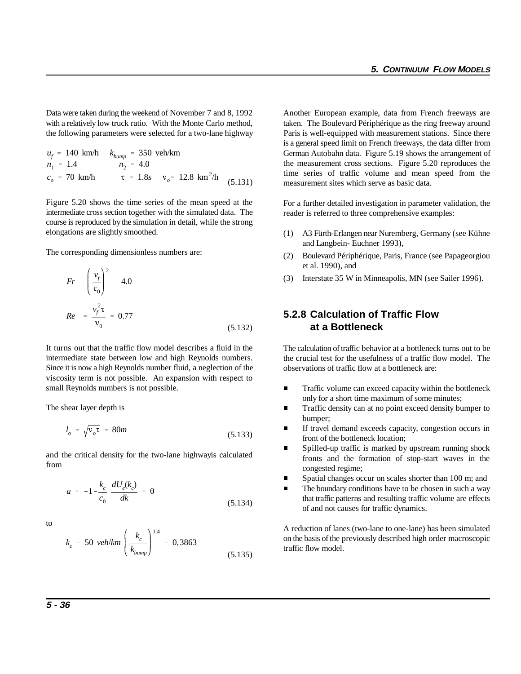Data were taken during the weekend of November 7 and 8, 1992 Another European example, data from French freeways are with a relatively low truck ratio. With the Monte Carlo method, taken. The Boulevard Périphérique as the ring freeway around

$$
u_f = 140 \text{ km/h} \qquad k_{bump} = 350 \text{ veh/km}
$$
  
\n
$$
n_1 = 1.4 \qquad n_2 = 4.0
$$
  
\n
$$
c_o = 70 \text{ km/h} \qquad \tau = 1.8s \qquad v_o = 12.8 \text{ km}^2/\text{h}
$$
 (5.131)

Figure 5.20 shows the time series of the mean speed at the intermediate cross section together with the simulated data. The course is reproduced by the simulation in detail, while the strong elongations are slightly smoothed.

The corresponding dimensionless numbers are:

$$
Fr = \left(\frac{v_f}{c_0}\right)^2 = 4.0
$$
  

$$
Re = \frac{v_f^2 \tau}{v_0} = 0.77
$$
 (5.132)

It turns out that the traffic flow model describes a fluid in the intermediate state between low and high Reynolds numbers. Since it is now a high Reynolds number fluid, a neglection of the viscosity term is not possible. An expansion with respect to small Reynolds numbers is not possible.

The shear layer depth is

$$
l_o = \sqrt{v_o \tau} = 80m \tag{5.133}
$$

and the critical density for the two-lane highwayis calculated from

$$
a = -1 - \frac{k_c}{c_0} \frac{dU_e(k_c)}{dk} = 0
$$
\n(5.134)

to

$$
k_c = 50 \text{ veh/km} \left(\frac{k_c}{k_{bump}}\right)^{1.4} = 0,3863 \tag{5.135}
$$

the following parameters were selected for a two-lane highway Paris is well-equipped with measurement stations. Since there is a general speed limit on French freeways, the data differ from German Autobahn data. Figure 5.19 shows the arrangement of the measurement cross sections. Figure 5.20 reproduces the time series of traffic volume and mean speed from the measurement sites which serve as basic data.

> For a further detailed investigation in parameter validation, the reader is referred to three comprehensive examples:

- (1) A3 Fürth-Erlangen near Nuremberg, Germany (see Kühne and Langbein- Euchner 1993),
- (2) Boulevard Périphérique, Paris, France (see Papageorgiou et al. 1990), and
- (3) Interstate 35 W in Minneapolis, MN (see Sailer 1996).

# (5.132) **at a Bottleneck 5.2.8 Calculation of Traffic Flow**

The calculation of traffic behavior at a bottleneck turns out to be the crucial test for the usefulness of a traffic flow model. The observations of traffic flow at a bottleneck are:

- $\blacksquare$  Traffic volume can exceed capacity within the bottleneck only for a short time maximum of some minutes;
- $\blacksquare$  Traffic density can at no point exceed density bumper to bumper;
- $\blacksquare$  If travel demand exceeds capacity, congestion occurs in front of the bottleneck location;
- $\blacksquare$  Spilled-up traffic is marked by upstream running shock fronts and the formation of stop-start waves in the congested regime;
- $\blacksquare$ Spatial changes occur on scales shorter than 100 m; and
- $\blacksquare$  The boundary conditions have to be chosen in such a way that traffic patterns and resulting traffic volume are effects of and not causes for traffic dynamics.

A reduction of lanes (two-lane to one-lane) has been simulated on the basis of the previously described high order macroscopic traffic flow model.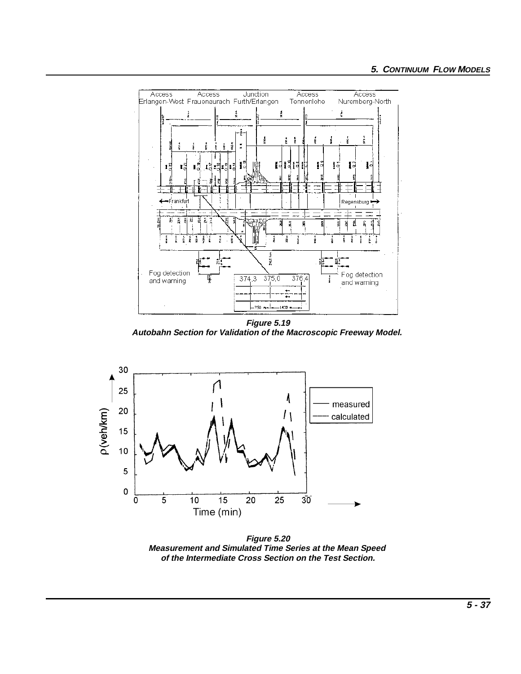

**Figure 5.19 Autobahn Section for Validation of the Macroscopic Freeway Model.** 



**Figure 5.20 Measurement and Simulated Time Series at the Mean Speed of the Intermediate Cross Section on the Test Section.**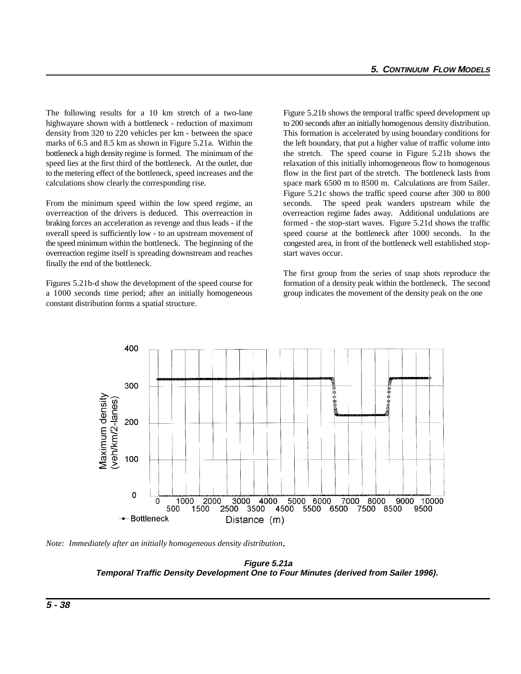The following results for a 10 km stretch of a two-lane Figure 5.21b shows the temporal traffic speed development up highwayare shown with a bottleneck - reduction of maximum to 200 seconds after an initially homogenous density distribution. density from 320 to 220 vehicles per km - between the space This formation is accelerated by using boundary conditions for marks of 6.5 and 8.5 km as shown in Figure 5.21a. Within the the left boundary, that put a higher value of traffic volume into bottleneck a high density regime is formed. The minimum of the the stretch. The speed course in Figure 5.21b shows the speed lies at the first third of the bottleneck. At the outlet, due relaxation of this initially inhomogeneous flow to homogenous to the metering effect of the bottleneck, speed increases and the flow in the first part of the stretch. The bottleneck lasts from calculations show clearly the corresponding rise. space mark 6500 m to 8500 m. Calculations are from Sailer.

From the minimum speed within the low speed regime, an seconds. The speed peak wanders upstream while the overreaction of the drivers is deduced. This overreaction in overreaction regime fades away. Additional undulations are braking forces an acceleration as revenge and thus leads - if the formed - the stop-start waves. Figure 5.21d shows the traffic overall speed is sufficiently low - to an upstream movement of speed course at the bottleneck after 1000 seconds. In the the speed minimum within the bottleneck. The beginning of the congested area, in front of the bottleneck well established stopoverreaction regime itself is spreading downstream and reaches start waves occur. finally the end of the bottleneck.

a 1000 seconds time period; after an initially homogeneous group indicates the movement of the density peak on the one constant distribution forms a spatial structure.

Figure 5.21c shows the traffic speed course after 300 to 800

Figures 5.21b-d show the development of the speed course for formation of a density peak within the bottleneck. The second The first group from the series of snap shots reproduce the



*Note: Immediately after an initially homogeneous density distribution***.**

**Figure 5.21a Temporal Traffic Density Development One to Four Minutes (derived from Sailer 1996).**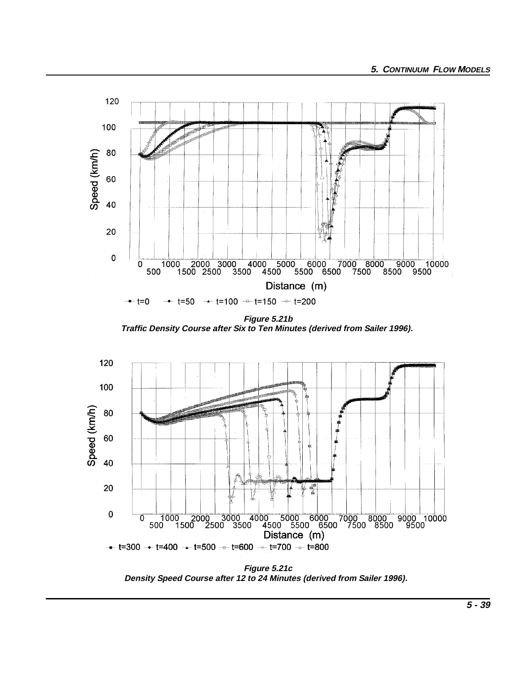

**Figure 5.21b Traffic Density Course after Six to Ten Minutes (derived from Sailer 1996).** 



**Figure 5.21c Density Speed Course after 12 to 24 Minutes (derived from Sailer 1996).**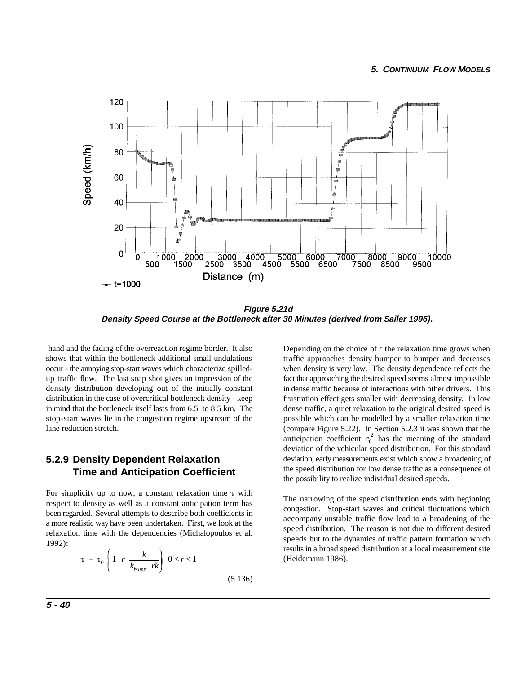

**Figure 5.21d Density Speed Course at the Bottleneck after 30 Minutes (derived from Sailer 1996).** 

 hand and the fading of the overreaction regime border. It also shows that within the bottleneck additional small undulations occur - the annoying stop-start waves which characterize spilledup traffic flow. The last snap shot gives an impression of the density distribution developing out of the initially constant distribution in the case of overcritical bottleneck density - keep in mind that the bottleneck itself lasts from 6.5 to 8.5 km. The stop-start waves lie in the congestion regime upstream of the lane reduction stretch.

## **5.2.9 Density Dependent Relaxation Time and Anticipation Coefficient**

For simplicity up to now, a constant relaxation time  $\tau$  with respect to density as well as a constant anticipation term has been regarded. Several attempts to describe both coefficients in a more realistic way have been undertaken. First, we look at the relaxation time with the dependencies (Michalopoulos et al. 1992):

$$
\tau = \tau_0 \left( 1 + r \frac{k}{k_{bump} - rk} \right) \quad 0 < r < 1 \tag{5.136}
$$

anticipation coefficient  $c_0^2$  has the meaning of the standard Depending on the choice of *r* the relaxation time grows when traffic approaches density bumper to bumper and decreases when density is very low. The density dependence reflects the fact that approaching the desired speed seems almost impossible in dense traffic because of interactions with other drivers. This frustration effect gets smaller with decreasing density. In low dense traffic, a quiet relaxation to the original desired speed is possible which can be modelled by a smaller relaxation time (compare Figure 5.22). In Section 5.2.3 it was shown that the deviation of the vehicular speed distribution. For this standard deviation, early measurements exist which show a broadening of the speed distribution for low dense traffic as a consequence of the possibility to realize individual desired speeds.

The narrowing of the speed distribution ends with beginning congestion. Stop-start waves and critical fluctuations which accompany unstable traffic flow lead to a broadening of the speed distribution. The reason is not due to different desired speeds but to the dynamics of traffic pattern formation which results in a broad speed distribution at a local measurement site (Heidemann 1986).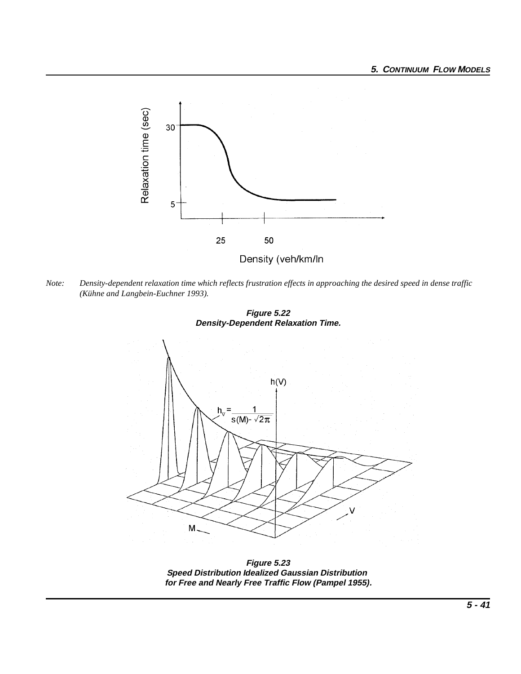

*Note: Density-dependent relaxation time which reflects frustration effects in approaching the desired speed in dense traffic (Kühne and Langbein-Euchner 1993).*





**Figure 5.23 Speed Distribution Idealized Gaussian Distribution for Free and Nearly Free Traffic Flow (Pampel 1955).**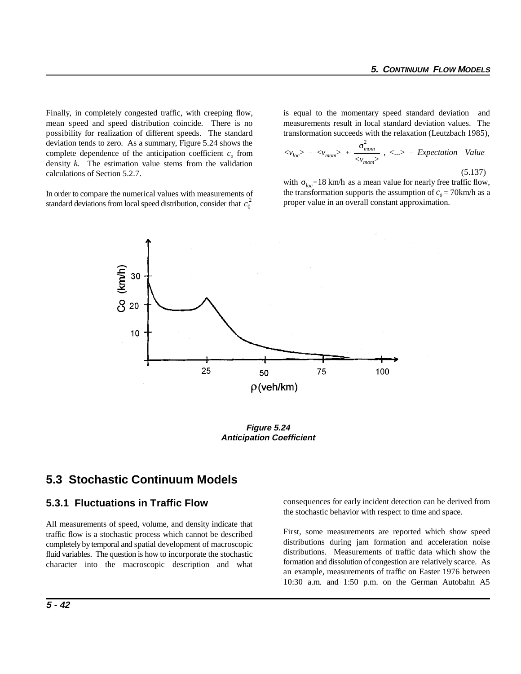Finally, in completely congested traffic, with creeping flow, is equal to the momentary speed standard deviation and mean speed and speed distribution coincide. There is no measurements result in local standard deviation values. The possibility for realization of different speeds. The standard deviation tends to zero. As a summary, Figure 5.24 shows the complete dependence of the anticipation coefficient  $c<sub>o</sub>$  from density *k*. The estimation value stems from the validation calculations of Section 5.2.7.

standard deviations from local speed distribution, consider that  $c_0^2$ In order to compare the numerical values with measurements of transformation succeeds with the relaxation (Leutzbach 1985),

$$
\langle v_{loc} \rangle = \langle v_{mom} \rangle + \frac{\sigma_{mom}^2}{\langle v_{mom} \rangle}, \langle \ldots \rangle = Expectation Value
$$
\n(5.137)

with  $\sigma_{loc}$ =18 km/h as a mean value for nearly free traffic flow, the transformation supports the assumption of  $c_0 = 70$ km/h as a proper value in an overall constant approximation.



**Figure 5.24 Anticipation Coefficient**

# **5.3 Stochastic Continuum Models**

#### **5.3.1 Fluctuations in Traffic Flow**

All measurements of speed, volume, and density indicate that traffic flow is a stochastic process which cannot be described completely by temporal and spatial development of macroscopic fluid variables. The question is how to incorporate the stochastic character into the macroscopic description and what consequences for early incident detection can be derived from the stochastic behavior with respect to time and space.

First, some measurements are reported which show speed distributions during jam formation and acceleration noise distributions. Measurements of traffic data which show the formation and dissolution of congestion are relatively scarce. As an example, measurements of traffic on Easter 1976 between 10:30 a.m. and 1:50 p.m. on the German Autobahn A5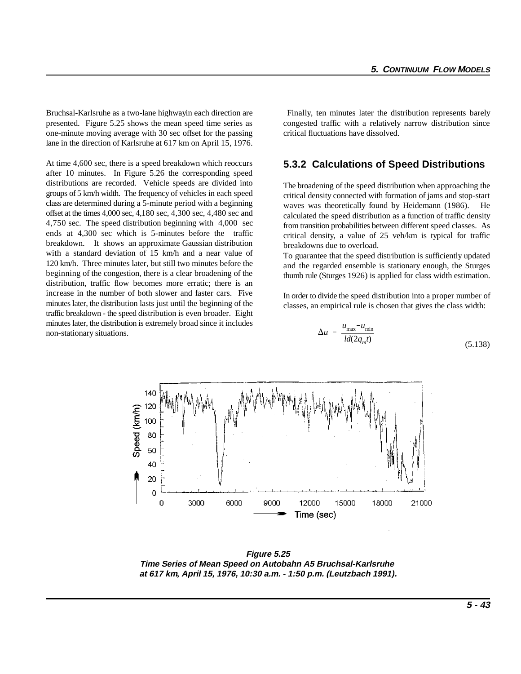Bruchsal-Karlsruhe as a two-lane highwayin each direction are Finally, ten minutes later the distribution represents barely presented. Figure 5.25 shows the mean speed time series as congested traffic with a relatively narrow distribution since one-minute moving average with 30 sec offset for the passing critical fluctuations have dissolved. lane in the direction of Karlsruhe at 617 km on April 15, 1976.

At time 4,600 sec, there is a speed breakdown which reoccurs after 10 minutes. In Figure 5.26 the corresponding speed distributions are recorded. Vehicle speeds are divided into groups of 5 km/h width. The frequency of vehicles in each speed class are determined during a 5-minute period with a beginning offset at the times 4,000 sec, 4,180 sec, 4,300 sec, 4,480 sec and 4,750 sec. The speed distribution beginning with 4,000 sec ends at 4,300 sec which is 5-minutes before the traffic breakdown. It shows an approximate Gaussian distribution with a standard deviation of 15 km/h and a near value of 120 km/h. Three minutes later, but still two minutes before the beginning of the congestion, there is a clear broadening of the distribution, traffic flow becomes more erratic; there is an increase in the number of both slower and faster cars. Five minutes later, the distribution lasts just until the beginning of the traffic breakdown - the speed distribution is even broader. Eight minutes later, the distribution is extremely broad since it includes non-stationary situations.

#### **5.3.2 Calculations of Speed Distributions**

The broadening of the speed distribution when approaching the critical density connected with formation of jams and stop-start waves was theoretically found by Heidemann (1986). He calculated the speed distribution as a function of traffic density from transition probabilities between different speed classes. As critical density, a value of 25 veh/km is typical for traffic breakdowns due to overload.

To guarantee that the speed distribution is sufficiently updated and the regarded ensemble is stationary enough, the Sturges thumb rule (Sturges 1926) is applied for class width estimation.

In order to divide the speed distribution into a proper number of classes, an empirical rule is chosen that gives the class width:

$$
\Delta u = \frac{u_{\text{max}} - u_{\text{min}}}{ld(2q_m t)} \tag{5.138}
$$



**Figure 5.25 Time Series of Mean Speed on Autobahn A5 Bruchsal-Karlsruhe at 617 km***,* **April 15, 1976, 10:30 a.m. - 1:50 p.m. (Leutzbach 1991).**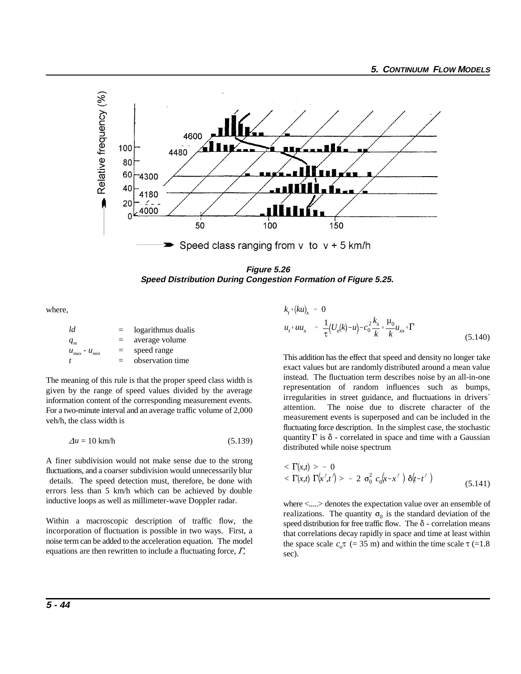

**Figure 5.26 Speed Distribution During Congestion Formation of Figure 5.25.** 

where,

| ld                  | $=$ | logarithmus dualis |
|---------------------|-----|--------------------|
| $q_m$               | $=$ | average volume     |
| $u_{max} - u_{min}$ | $=$ | speed range        |
| t.                  | $=$ | observation time   |

The meaning of this rule is that the proper speed class width is given by the range of speed values divided by the average information content of the corresponding measurement events. For a two-minute interval and an average traffic volume of 2,000 veh/h, the class width is

 $\Delta u = 10 \text{ km/h}$  (5.139)

A finer subdivision would not make sense due to the strong fluctuations, and a coarser subdivision would unnecessarily blur details. The speed detection must, therefore, be done with errors less than 5 km/h which can be achieved by double inductive loops as well as millimeter-wave Doppler radar.

Within a macroscopic description of traffic flow, the incorporation of fluctuation is possible in two ways. First, a noise term can be added to the acceleration equation. The model equations are then rewritten to include a fluctuating force,  $\Gamma$ ,

$$
k_{t} + (ku)_{x} = 0
$$
  

$$
u_{t} + uu_{x} = \frac{1}{\tau} (U_{e}(k) - u) - c_{0}^{2} \frac{k_{x}}{k} + \frac{\mu_{0}}{k} u_{xx} + \Gamma
$$
 (5.140)

This addition has the effect that speed and density no longer take exact values but are randomly distributed around a mean value instead. The fluctuation term describes noise by an all-in-one representation of random influences such as bumps, irregularities in street guidance, and fluctuations in drivers´ attention. The noise due to discrete character of the measurement events is superposed and can be included in the fluctuating force description. In the simplest case, the stochastic quantity  $\Gamma$  is  $\delta$  - correlated in space and time with a Gaussian distributed while noise spectrum

$$
\langle \Gamma(x,t) \rangle = 0 \n\langle \Gamma(x,t) \Gamma(x',t') \rangle = 2 \sigma_0^2 c_0(x-x') \delta(t-t')
$$
\n(5.141)

realizations. The quantity  $\sigma_0$  is the standard deviation of the the space scale  $c_o \tau$  (= 35 m) and within the time scale  $\tau$  (=1.8) where <.....> denotes the expectation value over an ensemble of speed distribution for free traffic flow. The  $\delta$  - correlation means that correlations decay rapidly in space and time at least within sec).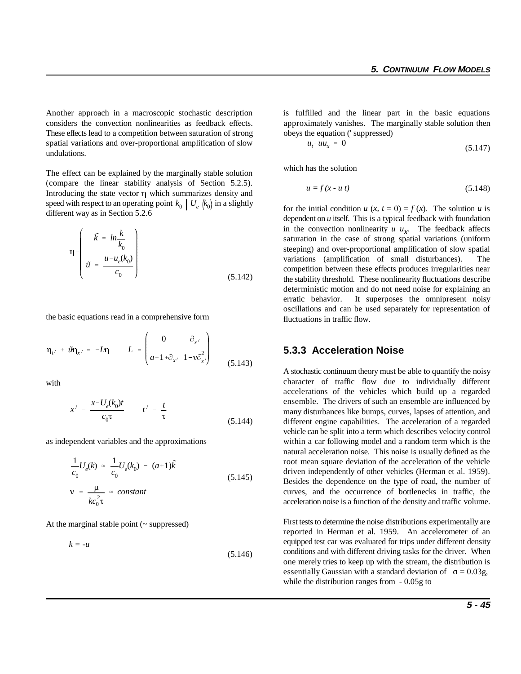considers the convection nonlinearities as feedback effects. approximately vanishes. The marginally stable solution then These effects lead to a competition between saturation of strong spatial variations and over-proportional amplification of slow undulations.

speed with respect to an operating point  $k_0 \mid U_e \left( k_0 \right)$  in a slightly The effect can be explained by the marginally stable solution (compare the linear stability analysis of Section 5.2.5). Introducing the state vector  $\eta$  which summarizes density and different way as in Section 5.2.6

$$
\eta = \begin{pmatrix} \tilde{k} = ln \frac{k}{k_0} \\ \tilde{u} = \frac{u - u_e(k_0)}{c_0} \end{pmatrix}
$$
 (5.142)

the basic equations read in a comprehensive form

$$
\eta_{t'} + \tilde{u}\eta_{x'} = -L\eta \qquad L = \begin{pmatrix} 0 & \partial_{x'} \\ a+1+\partial_{x'} & 1-v\partial_{x'}^2 \end{pmatrix}
$$
(5.143)

with

$$
x' = \frac{x - U_e(k_0)t}{c_0 \tau} \qquad t' = \frac{t}{\tau}
$$
 (5.144)

as independent variables and the approximations

$$
\frac{1}{c_0}U_e(k) \approx \frac{1}{c_0}U_e(k_0) - (a+1)\tilde{k}
$$
\n
$$
v = \frac{\mu}{kc_0^2\tau} \approx constant
$$
\n(5.145)

At the marginal stable point  $($  - suppressed)

$$
k = -u \tag{5.146}
$$

obeys the equation ('suppressed) Another approach in a macroscopic stochastic description is fulfilled and the linear part in the basic equations

$$
u_t + uu_x = 0 \tag{5.147}
$$

which has the solution

$$
u = f(x - u t) \tag{5.148}
$$

for the initial condition  $u(x, t = 0) = f(x)$ . The solution  $u$  is dependent on *u* itself. This is a typical feedback with foundation in the convection nonlinearity  $u u_x$ . The feedback affects saturation in the case of strong spatial variations (uniform steeping) and over-proportional amplification of slow spatial variations (amplification of small disturbances). The competition between these effects produces irregularities near the stability threshold. These nonlinearity fluctuations describe deterministic motion and do not need noise for explaining an erratic behavior. It superposes the omnipresent noisy oscillations and can be used separately for representation of fluctuations in traffic flow.

#### **5.3.3 Acceleration Noise**

A stochastic continuum theory must be able to quantify the noisy character of traffic flow due to individually different accelerations of the vehicles which build up a regarded ensemble. The drivers of such an ensemble are influenced by many disturbances like bumps, curves, lapses of attention, and different engine capabilities. The acceleration of a regarded vehicle can be split into a term which describes velocity control within a car following model and a random term which is the natural acceleration noise. This noise is usually defined as the root mean square deviation of the acceleration of the vehicle driven independently of other vehicles (Herman et al. 1959). Besides the dependence on the type of road, the number of curves, and the occurrence of bottlenecks in traffic, the acceleration noise is a function of the density and traffic volume.

First tests to determine the noise distributions experimentally are reported in Herman et al. 1959. An accelerometer of an equipped test car was evaluated for trips under different density conditions and with different driving tasks for the driver. When one merely tries to keep up with the stream, the distribution is essentially Gaussian with a standard deviation of  $\sigma = 0.03g$ , while the distribution ranges from  $-0.05$ g to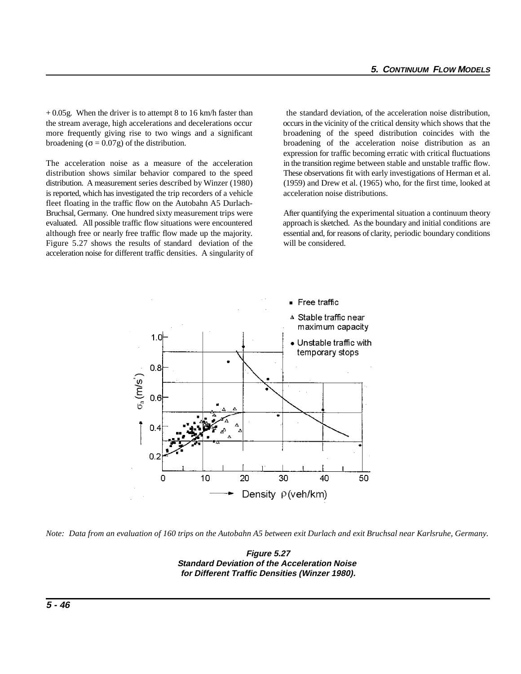+ 0.05g. When the driver is to attempt 8 to 16 km/h faster than the standard deviation, of the acceleration noise distribution, the stream average, high accelerations and decelerations occur occurs in the vicinity of the critical density which shows that the more frequently giving rise to two wings and a significant broadening of the speed distribution coincides with the broadening  $(\sigma = 0.07g)$  of the distribution. broadening of the acceleration noise distribution as an

distribution shows similar behavior compared to the speed These observations fit with early investigations of Herman et al. distribution. A measurement series described by Winzer (1980) (1959) and Drew et al. (1965) who, for the first time, looked at is reported, which has investigated the trip recorders of a vehicle acceleration noise distributions. fleet floating in the traffic flow on the Autobahn A5 Durlach-Bruchsal, Germany. One hundred sixty measurement trips were After quantifying the experimental situation a continuum theory evaluated. All possible traffic flow situations were encountered approach is sketched. As the boundary and initial conditions are although free or nearly free traffic flow made up the majority. essential and, for reasons of clarity, periodic boundary conditions Figure 5.27 shows the results of standard deviation of the will be considered. acceleration noise for different traffic densities. A singularity of

The acceleration noise as a measure of the acceleration in the transition regime between stable and unstable traffic flow. expression for traffic becoming erratic with critical fluctuations



*Note: Data from an evaluation of 160 trips on the Autobahn A5 between exit Durlach and exit Bruchsal near Karlsruhe, Germany.*

**Figure 5.27 Standard Deviation of the Acceleration Noise for Different Traffic Densities (Winzer 1980).**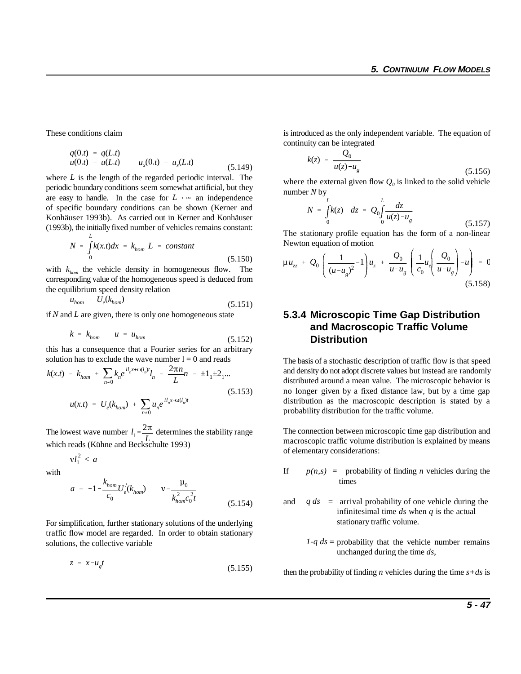$$
q(0,t) = q(L,t) u(0,t) = u(L,t) \qquad u_x(0,t) = u_x(L,t) \qquad (5.149)
$$

*L* where *L* is the length of the regarded periodic interval. The periodic boundary conditions seem somewhat artificial, but they are easy to handle. In the case for  $L \rightarrow \infty$  an independence of specific boundary conditions can be shown (Kerner and Konhäuser 1993b). As carried out in Kerner and Konhäuser (1993b), the initially fixed number of vehicles remains constant:

$$
N = \int_{0}^{T} k(x.t)dx = k_{hom} L = constant
$$
\n(5.150)

the equilibrium speed density relation<br>  $u_{hom} = U_e(k_{hom})$ with  $k_{hom}$  the vehicle density in homogeneous flow. The corresponding value of the homogeneous speed is deduced from

$$
u_{hom} = U_e(k_{hom}) \tag{5.151}
$$

if *N* and *L* are given, there is only one homogeneous state

$$
k = k_{hom} \qquad u = u_{hom} \tag{5.152}
$$

this has a consequence that a Fourier series for an arbitrary solution has to exclude the wave number  $l = 0$  and reads

$$
k(x,t) = k_{hom} + \sum_{n \neq 0} k_n e^{i l_n x + \omega(l_n)t} l_n = \frac{2\pi n}{L} n = \pm 1_1 \pm 2_1 ...
$$
  

$$
u(x,t) = U_e(k_{hom}) + \sum_{n \neq 0} u_n e^{i l_n x + \omega(l_n)t}
$$
 (5.153)

 $l_1 = \frac{2\pi}{l}$ The lowest wave number  $l_1 = \frac{2\pi}{L}$  determines the stability range which reads (Kühne and Beckschulte 1993)

$$
vl_1^2
$$

with

$$
a = -1 - \frac{k_{hom}}{c_0} U_e'(k_{hom}) \qquad \mathbf{v} = \frac{\mu_0}{k_{hom}^2 c_0^2 t}
$$
(5.154)

For simplification, further stationary solutions of the underlying traffic flow model are regarded. In order to obtain stationary solutions, the collective variable

$$
z = x - u_g t \tag{5.155}
$$

These conditions claim is introduced as the only independent variable. The equation of continuity can be integrated

$$
k(z) = \frac{Q_0}{u(z) - u_g}
$$
 (5.156)

where the external given flow  $Q_0$  is linked to the solid vehicle number *N* by

$$
N = \int_{0}^{L} k(z) \ dz = Q_0 \int_{0}^{L} \frac{dz}{u(z) - u_g}
$$
 (5.157)

The stationary profile equation has the form of a non-linear Newton equation of motion

$$
\mu u_{zz} + Q_0 \left( \frac{1}{(u - u_g)^2} - 1 \right) u_z + \frac{Q_0}{u - u_g} \left( \frac{1}{c_0} u_e \left( \frac{Q_0}{u - u_g} \right) - u \right) = 0
$$
\n(5.158)

### **5.3.4 Microscopic Time Gap Distribution and Macroscopic Traffic Volume Distribution**

The basis of a stochastic description of traffic flow is that speed and density do not adopt discrete values but instead are randomly distributed around a mean value. The microscopic behavior is no longer given by a fixed distance law, but by a time gap distribution as the macroscopic description is stated by a probability distribution for the traffic volume.

The connection between microscopic time gap distribution and macroscopic traffic volume distribution is explained by means of elementary considerations:

- If  $p(n,s)$  = probability of finding *n* vehicles during the times
- and *q ds* = arrival probability of one vehicle during the infinitesimal time *ds* when *q* is the actual stationary traffic volume.
	- *1-q ds* = probability that the vehicle number remains unchanged during the time *ds*,

then the probability of finding *n* vehicles during the time  $s+d s$  is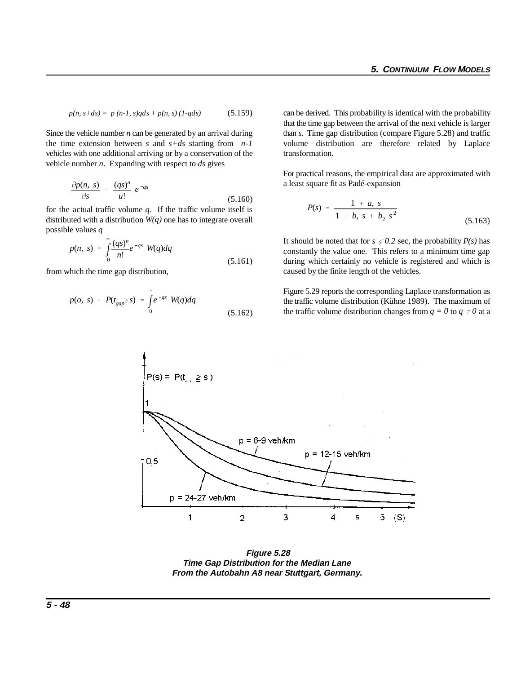$$
p(n, s+ds) = p (n-1, s)qds + p(n, s) (1-qds)
$$
 (5.159)

the time extension between *s* and *s+ds* starting from *n-1* vehicles with one additional arriving or by a conservation of the vehicle number *n*. Expanding with respect to *ds* gives

$$
\frac{\partial p(n, s)}{\partial s} = \frac{(qs)^n}{u!} e^{-qs} \tag{5.160}
$$

for the actual traffic volume *q*. If the traffic volume itself is distributed with a distribution *W(q)* one has to integrate overall possible values *q*

$$
p(n, s) = \int_{0}^{\infty} \frac{(qs)^n}{n!} e^{-qs} W(q) dq
$$
\n(5.161)

from which the time gap distribution,

$$
p(o, s) = P(t_{gap} \ge s) = \int_{0}^{\infty} e^{-qs} W(q) dq
$$
\n(5.162)

can be derived. This probability is identical with the probability Since the vehicle number *n* can be generated by an arrival during than *s*. Time gap distribution (compare Figure 5.28) and traffic that the time gap between the arrival of the next vehicle is larger volume distribution are therefore related by Laplace transformation.

> For practical reasons, the empirical data are approximated with a least square fit as Padé-expansion

$$
P(s) = \frac{1 + a, s}{1 + b, s + b_2 s^2}
$$
 (5.163)

It should be noted that for  $s \leq 0.2$  sec, the probability  $P(s)$  has constantly the value one. This refers to a minimum time gap during which certainly no vehicle is registered and which is caused by the finite length of the vehicles.

Figure 5.29 reports the corresponding Laplace transformation as the traffic volume distribution (Kühne 1989). The maximum of the traffic volume distribution changes from  $q = 0$  to  $q \neq 0$  at a



**Figure 5.28 Time Gap Distribution for the Median Lane From the Autobahn A8 near Stuttgart, Germany.**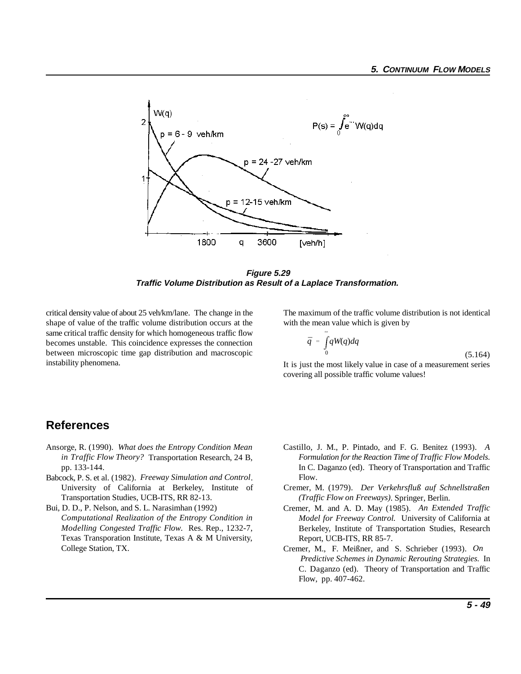

**Figure 5.29 Traffic Volume Distribution as Result of a Laplace Transformation.** 

critical density value of about 25 veh/km/lane. The change in the The maximum of the traffic volume distribution is not identical shape of value of the traffic volume distribution occurs at the with the mean value which is given by same critical traffic density for which homogeneous traffic flow becomes unstable. This coincidence expresses the connection between microscopic time gap distribution and macroscopic instability phenomena.

$$
\bar{q} = \int_{0}^{\infty} qW(q) dq
$$
\n(5.164)

It is just the most likely value in case of a measurement series covering all possible traffic volume values!

# **References**

- 
- Babcock, P. S. et al. (1982). *Freeway Simulation and Control*. University of California at Berkeley, Institute of Cremer, M. (1979). *Der Verkehrsfluß auf Schnellstraßen* Transportation Studies, UCB-ITS, RR 82-13.
- Bui, D. D., P. Nelson, and S. L. Narasimhan (1992) *Computational Realization of the Entropy Condition in Modelling Congested Traffic Flow*. Res. Rep., 1232-7, Texas Transporation Institute, Texas A & M University, College Station, TX.
- Ansorge, R. (1990). *What does the Entropy Condition Mean* Castillo, J. M., P. Pintado, and F. G. Benitez (1993). *A in Traffic Flow Theory?* Transportation Research, 24 B, *Formulation for the Reaction Time of Traffic Flow Models.* pp. 133-144. In C. Daganzo (ed). Theory of Transportation and Traffic Flow.
	- *(Traffic Flow on Freeways)*. Springer, Berlin.
	- Cremer, M. and A. D. May (1985). *An Extended Traffic Model for Freeway Control.* University of California at Berkeley, Institute of Transportation Studies, Research Report, UCB-ITS, RR 85-7.
	- Cremer, M., F. Meißner, and S. Schrieber (1993). *On Predictive Schemes in Dynamic Rerouting Strategies.* In C. Daganzo (ed). Theory of Transportation and Traffic Flow, pp. 407-462.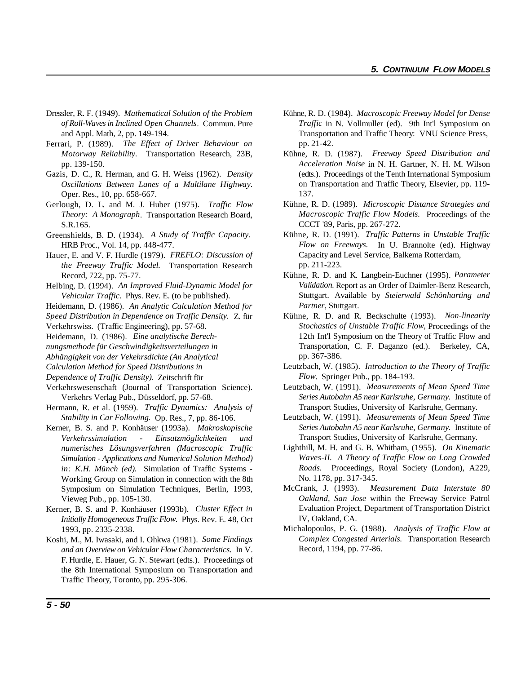- Dressler, R. F. (1949). *Mathematical Solution of the Problem* Kühne, R. D. (1984). *Macroscopic Freeway Model for Dense*
- Ferrari, P. (1989). *The Effect of Driver Behaviour on Motorway Reliability*. Transportation Research, 23B,
- Gazis, D. C., R. Herman, and G. H. Weiss (1962). *Density Oscillations Between Lanes of a Multilane Highway*. Oper. Res., 10, pp. 658-667.
- Gerlough, D. L. and M. J. Huber (1975). *Traffic Flow Theory: A Monograph*. Transportation Research Board, S.R.165.
- Greenshields, B. D. (1934). *A Study of Traffic Capacity.* HRB Proc., Vol. 14, pp. 448-477.
- Hauer, E. and V. F. Hurdle (1979). *FREFLO: Discussion of the Freeway Traffic Model.* Transportation Research Record, 722, pp. 75-77.
- Helbing, D. (1994). *An Improved Fluid-Dynamic Model for Vehicular Traffic*. Phys. Rev. E. (to be published).
- Heidemann, D. (1986). *An Analytic Calculation Method for*
- *Speed Distribution in Dependence on Traffic Density.* Z. für Verkehrswiss. (Traffic Engineering), pp. 57-68.
- Heidemann, D. (1986). *Eine analytische Berech-*
- *nungsmethode für Geschwindigkeitsverteilungen in*
- *Abhängigkeit von der Vekehrsdichte (An Analytical*
- *Calculation Method for Speed Distributions in*
- *Dependence of Traffic Density).* Zeitschrift für
- Verkehrswesenschaft (Journal of Transportation Science). Verkehrs Verlag Pub., Düsseldorf, pp. 57-68.
- Hermann, R. et al. (1959). *Traffic Dynamics: Analysis of Stability in Car Following.* Op. Res., 7, pp. 86-106.
- Kerner, B. S. and P. Konhäuser (1993a). *Makroskopische Verkehrssimulation - Einsatzmöglichkeiten und numerisches Lösungsverfahren (Macroscopic Traffic Simulation - Applications and Numerical Solution Method) in: K.H. Münch (ed).* Simulation of Traffic Systems - Working Group on Simulation in connection with the 8th Symposium on Simulation Techniques, Berlin, 1993, Vieweg Pub., pp. 105-130.
- Kerner, B. S. and P. Konhäuser (1993b). *Cluster Effect in Initially Homogeneous Traffic Flow.* Phys. Rev. E. 48, Oct 1993, pp. 2335-2338.
- Koshi, M., M. Iwasaki, and I. Ohkwa (1981). *Some Findings and an Overview on Vehicular Flow Characteristics.* In V. F. Hurdle, E. Hauer, G. N. Stewart (edts.). Proceedings of the 8th International Symposium on Transportation and Traffic Theory, Toronto, pp. 295-306.
- *of Roll-Waves in Inclined Open Channels*. Commun. Pure *Traffic* in N. Vollmuller (ed). 9th Int'l Symposium on and Appl. Math, 2, pp. 149-194. Transportation and Traffic Theory: VNU Science Press, pp. 21-42.
- pp. 139-150. *Acceleration Noise* in N. H. Gartner, N. H. M. Wilson Kühne, R. D. (1987). *Freeway Speed Distribution and* (edts.). Proceedings of the Tenth International Symposium on Transportation and Traffic Theory, Elsevier, pp. 119- 137.
	- Kühne, R. D. (1989). *Microscopic Distance Strategies and Macroscopic Traffic Flow Models.* Proceedings of the CCCT '89, Paris, pp. 267-272.
	- Kühne, R. D. (1991). *Traffic Patterns in Unstable Traffic Flow on Freeways.* In U. Brannolte (ed). Highway Capacity and Level Service, Balkema Rotterdam, pp. 211-223.
	- Kühne, R. D. and K. Langbein-Euchner (1995). *Parameter Validation.* Report as an Order of Daimler-Benz Research, Stuttgart. Available by *Steierwald Schönharting und Partner*, Stuttgart.
	- Kühne, R. D. and R. Beckschulte (1993). *Non-linearity Stochastics of Unstable Traffic Flow,* Proceedings of the 12th Int'l Symposium on the Theory of Traffic Flow and Transportation, C. F. Daganzo (ed.). Berkeley, CA, pp. 367-386.
	- Leutzbach, W. (1985). *Introduction to the Theory of Traffic Flow*. Springer Pub., pp. 184-193.
	- Leutzbach, W. (1991). *Measurements of Mean Speed Time Series Autobahn A5 near Karlsruhe, Germany.* Institute of Transport Studies, University of Karlsruhe, Germany.
	- Leutzbach, W. (1991). *Measurements of Mean Speed Time Series Autobahn A5 near Karlsruhe, Germany.* Institute of Transport Studies, University of Karlsruhe, Germany.
	- Lighthill, M. H. and G. B. Whitham, (1955). *On Kinematic Waves-II. A Theory of Traffic Flow on Long Crowded Roads.* Proceedings, Royal Society (London), A229, No. 1178, pp. 317-345.
	- McCrank, J. (1993). *Measurement Data Interstate 80 Oakland, San Jose* within the Freeway Service Patrol Evaluation Project, Department of Transportation District IV, Oakland, CA.
	- Michalopoulos, P. G. (1988). *Analysis of Traffic Flow at Complex Congested Arterials.* Transportation Research Record, 1194, pp. 77-86.